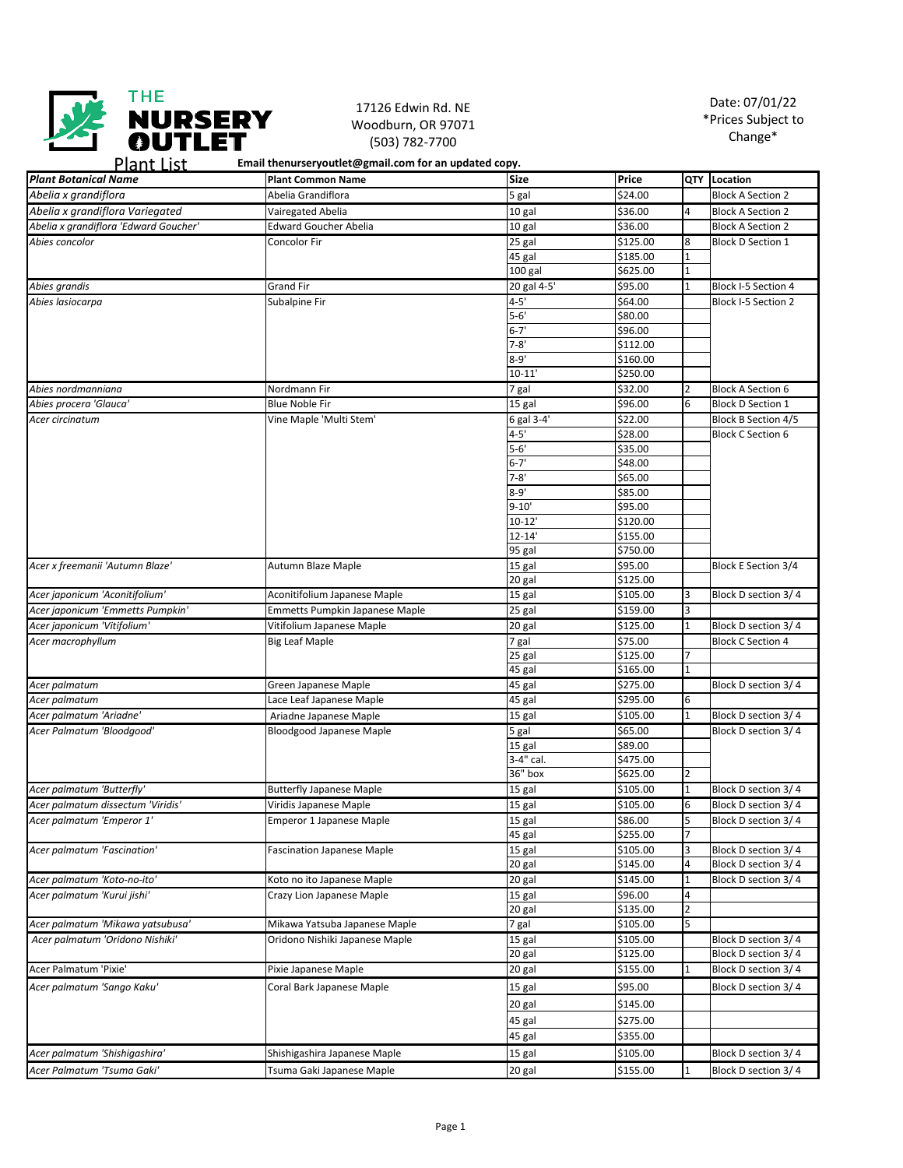

## 17126 Edwin Rd. NE Woodburn, OR 97071 (503) 782-7700

| Plant List | Email thenurseryoutlet@gmail.com for an updated copy. |  |
|------------|-------------------------------------------------------|--|
|            |                                                       |  |

| <b>Plant Botanical Name</b>           | <b>Plant Common Name</b>              | <b>Size</b>         | Price                |                     | QTY Location               |
|---------------------------------------|---------------------------------------|---------------------|----------------------|---------------------|----------------------------|
| Abelia x grandiflora                  | Abelia Grandiflora                    | 5 gal               | \$24.00              |                     | <b>Block A Section 2</b>   |
| Abelia x grandiflora Variegated       | Vairegated Abelia                     | 10 gal              | \$36.00              | 4                   | <b>Block A Section 2</b>   |
| Abelia x grandiflora 'Edward Goucher' | <b>Edward Goucher Abelia</b>          | 10 gal              | \$36.00              |                     | <b>Block A Section 2</b>   |
| Abies concolor                        | Concolor Fir                          | 25 gal              | \$125.00             | 8                   | <b>Block D Section 1</b>   |
|                                       |                                       | 45 gal              | \$185.00             |                     |                            |
|                                       |                                       | 100 gal             | \$625.00             | $\mathbf 1$         |                            |
| Abies grandis                         | <b>Grand Fir</b>                      | 20 gal 4-5'         | \$95.00              | $\mathbf{1}$        | Block I-5 Section 4        |
| Abies lasiocarpa                      | Subalpine Fir                         | $4 - 5'$            | \$64.00              |                     | Block I-5 Section 2        |
|                                       |                                       | $5 - 6'$            | \$80.00              |                     |                            |
|                                       |                                       | $6 - 7'$            | \$96.00              |                     |                            |
|                                       |                                       | $7 - 8'$            | \$112.00             |                     |                            |
|                                       |                                       | $8 - 9'$            | \$160.00             |                     |                            |
|                                       |                                       | $10 - 11'$          | \$250.00             |                     |                            |
| Abies nordmanniana                    | Nordmann Fir                          | 7 gal               | \$32.00              | 2                   | <b>Block A Section 6</b>   |
| Abies procera 'Glauca'                | <b>Blue Noble Fir</b>                 | 15 gal              | \$96.00              | 6                   | <b>Block D Section 1</b>   |
| Acer circinatum                       | Vine Maple 'Multi Stem'               | 6 gal 3-4'          | \$22.00              |                     | <b>Block B Section 4/5</b> |
|                                       |                                       | $4 - 5'$            | \$28.00              |                     | <b>Block C Section 6</b>   |
|                                       |                                       | $5 - 6'$            | \$35.00              |                     |                            |
|                                       |                                       | $6 - 7'$            | \$48.00              |                     |                            |
|                                       |                                       | $7 - 8'$            | \$65.00              |                     |                            |
|                                       |                                       | $8 - 9'$            | \$85.00              |                     |                            |
|                                       |                                       | $9 - 10'$           | \$95.00              |                     |                            |
|                                       |                                       | $10 - 12'$          | \$120.00             |                     |                            |
|                                       |                                       | $12 - 14'$          | \$155.00             |                     |                            |
|                                       |                                       | 95 gal              | \$750.00             |                     |                            |
| Acer x freemanii 'Autumn Blaze'       | Autumn Blaze Maple                    | $\overline{15}$ gal | \$95.00              |                     | <b>Block E Section 3/4</b> |
|                                       |                                       | 20 gal              | \$125.00             |                     |                            |
| Acer japonicum 'Aconitifolium'        | Aconitifolium Japanese Maple          | 15 gal              | \$105.00             | 3                   | Block D section 3/4        |
| Acer japonicum 'Emmetts Pumpkin'      | <b>Emmetts Pumpkin Japanese Maple</b> | 25 gal              | \$159.00             | 3                   |                            |
| Acer japonicum 'Vitifolium'           | Vitifolium Japanese Maple             | 20 gal              | \$125.00             | 1                   | Block D section 3/4        |
| Acer macrophyllum                     | <b>Big Leaf Maple</b>                 | 7 gal               | \$75.00              |                     | <b>Block C Section 4</b>   |
|                                       |                                       | 25 gal              | \$125.00             |                     |                            |
|                                       |                                       | 45 gal              | \$165.00             | 1                   |                            |
| Acer palmatum                         | Green Japanese Maple                  | 45 gal              | \$275.00             |                     | Block D section 3/4        |
| Acer palmatum                         | Lace Leaf Japanese Maple              | 45 gal              | \$295.00             | 6                   |                            |
| Acer palmatum 'Ariadne'               | Ariadne Japanese Maple                | 15 gal              | \$105.00             | 1                   | Block D section 3/4        |
| Acer Palmatum 'Bloodgood'             |                                       |                     | \$65.00              |                     |                            |
|                                       | <b>Bloodgood Japanese Maple</b>       | 5 gal<br>15 gal     | \$89.00              |                     | Block D section 3/4        |
|                                       |                                       | 3-4" cal.           | \$475.00             |                     |                            |
|                                       |                                       | 36" box             | \$625.00             | 2                   |                            |
| Acer palmatum 'Butterfly'             | <b>Butterfly Japanese Maple</b>       | 15 gal              | \$105.00             | $\mathbf{1}$        | Block D section 3/4        |
| Acer palmatum dissectum 'Viridis'     | Viridis Japanese Maple                | 15 gal              | \$105.00             | 6                   | Block D section 3/4        |
|                                       |                                       |                     |                      | 5                   |                            |
| Acer palmatum 'Emperor 1'             | Emperor 1 Japanese Maple              | $\overline{15}$ gal | \$86.00              |                     | Block D section 3/4        |
| Acer palmatum 'Fascination'           | <b>Fascination Japanese Maple</b>     | 45 gal<br>15 gal    | \$255.00<br>\$105.00 | 3                   | Block D section 3/4        |
|                                       |                                       | 20 gal              | \$145.00             | 4                   | Block D section 3/4        |
| Acer palmatum 'Koto-no-ito'           | Koto no ito Japanese Maple            |                     |                      | 1                   | Block D section 3/4        |
|                                       |                                       | 20 gal              | \$145.00             |                     |                            |
| Acer palmatum 'Kurui jishi'           | Crazy Lion Japanese Maple             | 15 gal              | \$96.00              | 4<br>$\overline{2}$ |                            |
|                                       |                                       | 20 gal              | \$135.00             |                     |                            |
| Acer palmatum 'Mikawa yatsubusa'      | Mikawa Yatsuba Japanese Maple         | 7 gal               | \$105.00             | 5                   |                            |
| Acer palmatum 'Oridono Nishiki'       | Oridono Nishiki Japanese Maple        | 15 gal              | \$105.00             |                     | Block D section 3/4        |
|                                       |                                       | 20 gal              | \$125.00             |                     | Block D section 3/4        |
| Acer Palmatum 'Pixie'                 | Pixie Japanese Maple                  | 20 gal              | \$155.00             |                     | Block D section 3/4        |
| Acer palmatum 'Sango Kaku'            | Coral Bark Japanese Maple             | 15 gal              | \$95.00              |                     | Block D section 3/4        |
|                                       |                                       | 20 gal              | \$145.00             |                     |                            |
|                                       |                                       | 45 gal              | \$275.00             |                     |                            |
|                                       |                                       | 45 gal              | \$355.00             |                     |                            |
| Acer palmatum 'Shishigashira'         | Shishigashira Japanese Maple          | 15 gal              | \$105.00             |                     | Block D section 3/4        |
|                                       |                                       |                     |                      | $\mathbf{1}$        |                            |
| Acer Palmatum 'Tsuma Gaki'            | Tsuma Gaki Japanese Maple             | 20 gal              | \$155.00             |                     | Block D section 3/4        |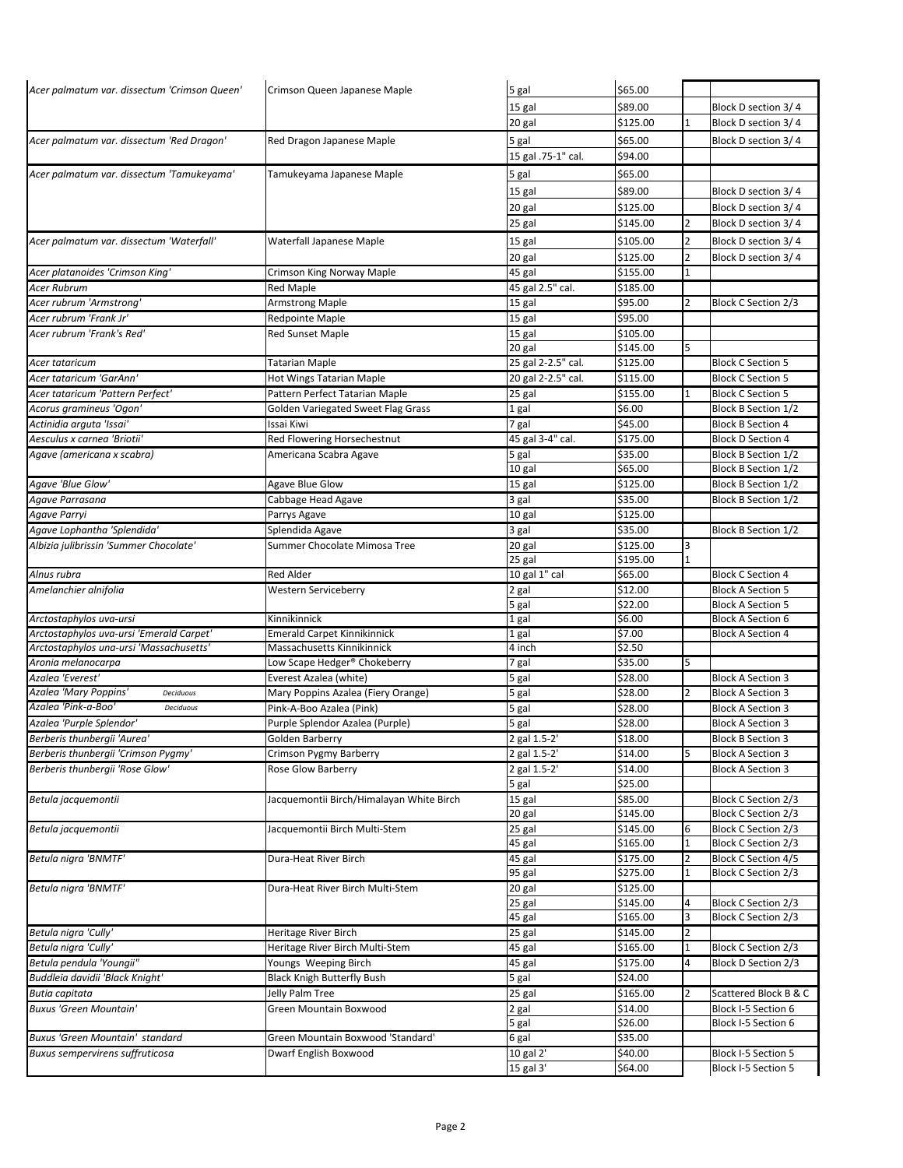| Acer palmatum var. dissectum 'Crimson Queen' | Crimson Queen Japanese Maple             | 5 gal               | \$65.00  |              |                            |
|----------------------------------------------|------------------------------------------|---------------------|----------|--------------|----------------------------|
|                                              |                                          | 15 gal              | \$89.00  |              | Block D section 3/4        |
|                                              |                                          | 20 gal              | \$125.00 | $\mathbf{1}$ | Block D section 3/4        |
| Acer palmatum var. dissectum 'Red Dragon'    | Red Dragon Japanese Maple                | 5 gal               | \$65.00  |              | Block D section 3/4        |
|                                              |                                          | 15 gal .75-1" cal.  | \$94.00  |              |                            |
|                                              |                                          |                     |          |              |                            |
| Acer palmatum var. dissectum 'Tamukeyama'    | Tamukeyama Japanese Maple                | 5 gal               | \$65.00  |              |                            |
|                                              |                                          | 15 gal              | \$89.00  |              | Block D section 3/4        |
|                                              |                                          | 20 gal              | \$125.00 |              | Block D section 3/4        |
|                                              |                                          | 25 gal              | \$145.00 | 2            | Block D section 3/4        |
| Acer palmatum var. dissectum 'Waterfall'     | Waterfall Japanese Maple                 | 15 gal              | \$105.00 | 2            | Block D section 3/4        |
|                                              |                                          | 20 gal              | \$125.00 | 2            | Block D section 3/4        |
| Acer platanoides 'Crimson King'              | Crimson King Norway Maple                | 45 gal              | \$155.00 |              |                            |
| <b>Acer Rubrum</b>                           | <b>Red Maple</b>                         | 45 gal 2.5" cal.    | \$185.00 |              |                            |
| Acer rubrum 'Armstrong'                      | <b>Armstrong Maple</b>                   | 15 gal              | \$95.00  | 2            | Block C Section 2/3        |
| Acer rubrum 'Frank Jr'                       | <b>Redpointe Maple</b>                   | 15 gal              | \$95.00  |              |                            |
| Acer rubrum 'Frank's Red'                    | <b>Red Sunset Maple</b>                  | 15 gal              | \$105.00 |              |                            |
|                                              |                                          | 20 gal              | \$145.00 | 5            |                            |
| Acer tataricum                               | <b>Tatarian Maple</b>                    | 25 gal 2-2.5" cal.  | \$125.00 |              | <b>Block C Section 5</b>   |
| Acer tataricum 'GarAnn'                      | Hot Wings Tatarian Maple                 | 20 gal 2-2.5" cal.  | \$115.00 |              | <b>Block C Section 5</b>   |
| Acer tataricum 'Pattern Perfect'             | Pattern Perfect Tatarian Maple           | 25 gal              | \$155.00 | 1            | <b>Block C Section 5</b>   |
| Acorus gramineus 'Ogon'                      | Golden Variegated Sweet Flag Grass       | 1 gal               | \$6.00   |              | Block B Section 1/2        |
| Actinidia arguta 'Issai'                     | Issai Kiwi                               | 7 gal               | \$45.00  |              | <b>Block B Section 4</b>   |
| Aesculus x carnea 'Briotii'                  | Red Flowering Horsechestnut              | 45 gal 3-4" cal.    | \$175.00 |              | <b>Block D Section 4</b>   |
| Agave (americana x scabra)                   | Americana Scabra Agave                   | 5 gal               | \$35.00  |              | Block B Section 1/2        |
|                                              |                                          | 10 gal              | \$65.00  |              | Block B Section 1/2        |
| Agave 'Blue Glow'                            | <b>Agave Blue Glow</b>                   | 15 gal              | \$125.00 |              | Block B Section 1/2        |
| Agave Parrasana                              | Cabbage Head Agave                       | 3 gal               | \$35.00  |              | Block B Section 1/2        |
| Agave Parryi                                 | Parrys Agave                             | 10 gal              | \$125.00 |              |                            |
| Agave Lophantha 'Splendida'                  | Splendida Agave                          | 3 gal               | \$35.00  |              | Block B Section 1/2        |
| Albizia julibrissin 'Summer Chocolate'       | Summer Chocolate Mimosa Tree             | $\overline{20}$ gal | \$125.00 | 3            |                            |
|                                              |                                          | 25 gal              | \$195.00 | 1            |                            |
| Alnus rubra                                  | <b>Red Alder</b>                         | 10 gal 1" cal       | \$65.00  |              | <b>Block C Section 4</b>   |
| Amelanchier alnifolia                        | <b>Western Serviceberry</b>              | 2 gal               | \$12.00  |              | <b>Block A Section 5</b>   |
|                                              |                                          | 5 gal               | \$22.00  |              | <b>Block A Section 5</b>   |
| Arctostaphylos uva-ursi                      | Kinnikinnick                             | 1 gal               | \$6.00   |              | <b>Block A Section 6</b>   |
| Arctostaphylos uva-ursi 'Emerald Carpet'     | <b>Emerald Carpet Kinnikinnick</b>       | 1 gal               | \$7.00   |              | <b>Block A Section 4</b>   |
| Arctostaphylos una-ursi 'Massachusetts'      | Massachusetts Kinnikinnick               | 4 inch              | \$2.50   |              |                            |
| Aronia melanocarpa                           | Low Scape Hedger® Chokeberry             | 7 gal               | \$35.00  |              |                            |
| Azalea 'Everest'                             | Everest Azalea (white)                   | 5 gal               | \$28.00  |              | <b>Block A Section 3</b>   |
| Azalea 'Mary Poppins'<br>Deciduous           | Mary Poppins Azalea (Fiery Orange)       | 5 gal               | \$28.00  | 2            | <b>Block A Section 3</b>   |
| Azalea 'Pink-a-Boo'<br>Deciduous             | Pink-A-Boo Azalea (Pink)                 | 5 gal               | \$28.00  |              | <b>Block A Section 3</b>   |
| Azalea 'Purple Splendor'                     | Purple Splendor Azalea (Purple)          | 5 gal               | \$28.00  |              | <b>Block A Section 3</b>   |
| Berberis thunbergii 'Aurea'                  | Golden Barberry                          | 2 gal 1.5-2'        | \$18.00  |              | <b>Block B Section 3</b>   |
| Berberis thunbergii 'Crimson Pygmy'          | Crimson Pygmy Barberry                   | 2 gal 1.5-2'        | \$14.00  | 5            | <b>Block A Section 3</b>   |
| Berberis thunbergii 'Rose Glow'              | Rose Glow Barberry                       | 2 gal 1.5-2'        | \$14.00  |              | <b>Block A Section 3</b>   |
|                                              |                                          | 5 gal               | \$25.00  |              |                            |
| Betula jacquemontii                          | Jacquemontii Birch/Himalayan White Birch | 15 gal              | \$85.00  |              | Block C Section 2/3        |
|                                              |                                          | 20 gal              | \$145.00 |              | Block C Section 2/3        |
| Betula jacquemontii                          | Jacquemontii Birch Multi-Stem            | 25 gal              | \$145.00 | 6            | Block C Section 2/3        |
|                                              |                                          | 45 gal              | \$165.00 | 1            | Block C Section 2/3        |
| Betula nigra 'BNMTF'                         | Dura-Heat River Birch                    | 45 gal              | \$175.00 | 2            | <b>Block C Section 4/5</b> |
|                                              |                                          | 95 gal              | \$275.00 | 1            | Block C Section 2/3        |
| Betula nigra 'BNMTF'                         | Dura-Heat River Birch Multi-Stem         | 20 gal              | \$125.00 |              |                            |
|                                              |                                          | 25 gal              | \$145.00 | 4            | Block C Section 2/3        |
|                                              |                                          | 45 gal              | \$165.00 | 3            | Block C Section 2/3        |
| Betula nigra 'Cully'                         | <b>Heritage River Birch</b>              | 25 gal              | \$145.00 | 2            |                            |
| Betula nigra 'Cully'                         | Heritage River Birch Multi-Stem          | 45 gal              | \$165.00 | 1            | <b>Block C Section 2/3</b> |
| Betula pendula 'Youngii"                     | Youngs Weeping Birch                     | 45 gal              | \$175.00 | 4            | Block D Section 2/3        |
| Buddleia davidii 'Black Knight'              | <b>Black Knigh Butterfly Bush</b>        | 5 gal               | \$24.00  |              |                            |
| Butia capitata                               | Jelly Palm Tree                          | 25 gal              | \$165.00 | 2            | Scattered Block B & C      |
| Buxus 'Green Mountain'                       | Green Mountain Boxwood                   | 2 gal               | \$14.00  |              | Block I-5 Section 6        |
|                                              |                                          | 5 gal               | \$26.00  |              | Block I-5 Section 6        |
| Buxus 'Green Mountain' standard              | Green Mountain Boxwood 'Standard'        | 6 gal               | \$35.00  |              |                            |
| Buxus sempervirens suffruticosa              | Dwarf English Boxwood                    | 10 gal 2'           | \$40.00  |              | Block I-5 Section 5        |
|                                              |                                          | 15 gal 3'           | \$64.00  |              | Block I-5 Section 5        |
|                                              |                                          |                     |          |              |                            |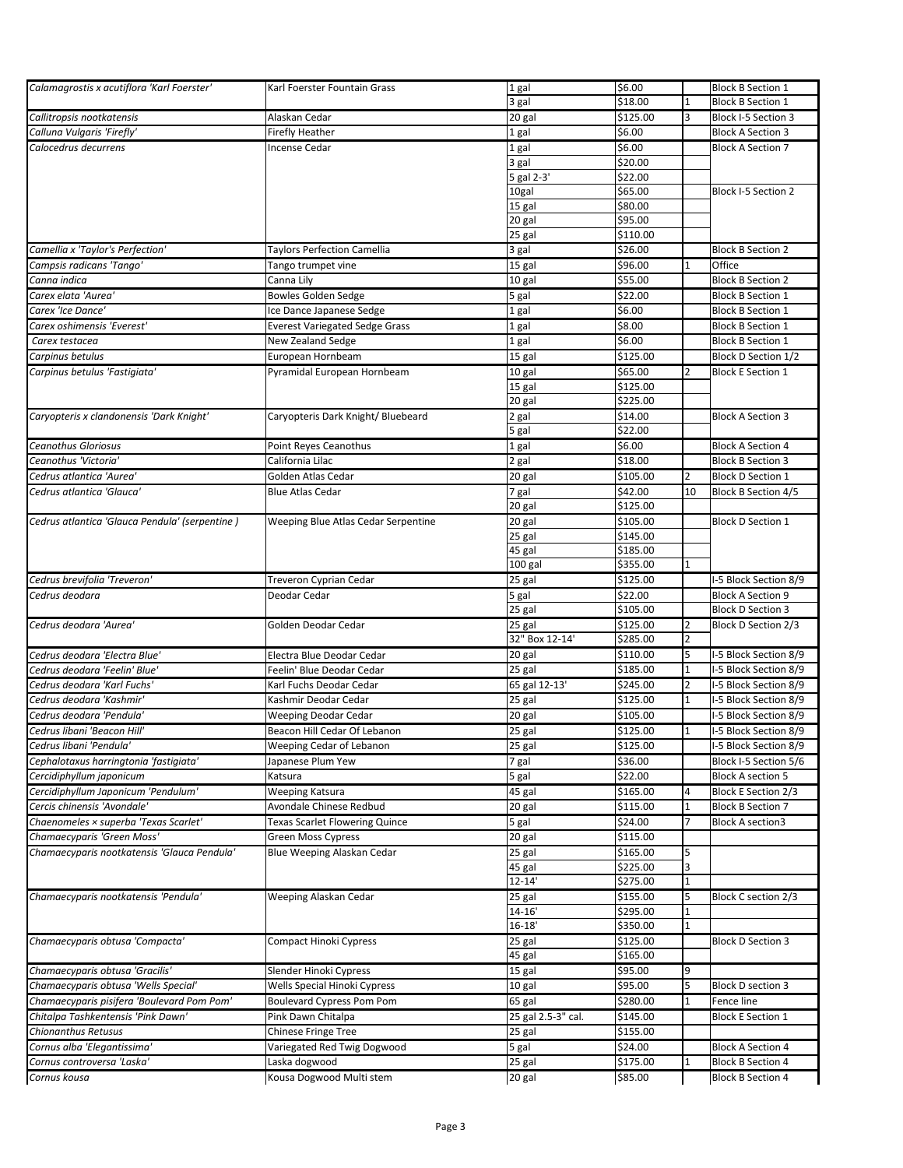| Calamagrostis x acutiflora 'Karl Foerster'     | Karl Foerster Fountain Grass          | 1 gal              | \$6.00              |                | <b>Block B Section 1</b> |
|------------------------------------------------|---------------------------------------|--------------------|---------------------|----------------|--------------------------|
|                                                |                                       | 3 gal              | \$18.00             | 1              | <b>Block B Section 1</b> |
| Callitropsis nootkatensis                      | Alaskan Cedar                         | 20 gal             | \$125.00            | 3              | Block I-5 Section 3      |
| Calluna Vulgaris 'Firefly'                     | <b>Firefly Heather</b>                | 1 gal              | \$6.00              |                | <b>Block A Section 3</b> |
|                                                |                                       |                    |                     |                |                          |
| Calocedrus decurrens                           | <b>Incense Cedar</b>                  | 1 gal              | \$6.00              |                | <b>Block A Section 7</b> |
|                                                |                                       | 3 gal              | \$20.00             |                |                          |
|                                                |                                       | 5 gal 2-3'         | \$22.00             |                |                          |
|                                                |                                       | 10gal              | \$65.00             |                | Block I-5 Section 2      |
|                                                |                                       | 15 gal             | \$80.00             |                |                          |
|                                                |                                       | 20 gal             | \$95.00             |                |                          |
|                                                |                                       | 25 gal             | \$110.00            |                |                          |
| Camellia x 'Taylor's Perfection'               | Taylors Perfection Camellia           | 3 gal              | \$26.00             |                | <b>Block B Section 2</b> |
| Campsis radicans 'Tango'                       | Tango trumpet vine                    | 15 gal             | \$96.00             |                | Office                   |
| Canna indica                                   | Canna Lily                            | 10 gal             | \$55.00             |                | <b>Block B Section 2</b> |
| Carex elata 'Aurea'                            | <b>Bowles Golden Sedge</b>            | 5 gal              | \$22.00             |                | <b>Block B Section 1</b> |
| Carex 'Ice Dance'                              | Ice Dance Japanese Sedge              | 1 gal              | \$6.00              |                | <b>Block B Section 1</b> |
| Carex oshimensis 'Everest'                     | <b>Everest Variegated Sedge Grass</b> | 1 gal              | \$8.00              |                | <b>Block B Section 1</b> |
|                                                |                                       |                    |                     |                |                          |
| Carex testacea                                 | New Zealand Sedge                     | 1 gal              | \$6.00              |                | <b>Block B Section 1</b> |
| Carpinus betulus                               | European Hornbeam                     | 15 gal             | \$125.00            |                | Block D Section 1/2      |
| Carpinus betulus 'Fastigiata'                  | Pyramidal European Hornbeam           | 10 gal             | \$65.00             | 2              | <b>Block E Section 1</b> |
|                                                |                                       | 15 gal             | \$125.00            |                |                          |
|                                                |                                       | 20 gal             | \$225.00            |                |                          |
| Caryopteris x clandonensis 'Dark Knight'       | Caryopteris Dark Knight/ Bluebeard    | 2 gal              | \$14.00             |                | <b>Block A Section 3</b> |
|                                                |                                       | 5 gal              | \$22.00             |                |                          |
| <b>Ceanothus Gloriosus</b>                     | Point Reyes Ceanothus                 | 1 gal              | \$6.00              |                | <b>Block A Section 4</b> |
| Ceanothus 'Victoria'                           | California Lilac                      | 2 gal              | \$18.00             |                | <b>Block B Section 3</b> |
| Cedrus atlantica 'Aurea'                       | Golden Atlas Cedar                    | 20 gal             | \$105.00            | 2              | <b>Block D Section 1</b> |
| Cedrus atlantica 'Glauca'                      | <b>Blue Atlas Cedar</b>               | 7 gal              | \$42.00             | 10             | Block B Section 4/5      |
|                                                |                                       | 20 gal             | \$125.00            |                |                          |
|                                                |                                       |                    |                     |                |                          |
| Cedrus atlantica 'Glauca Pendula' (serpentine) | Weeping Blue Atlas Cedar Serpentine   | 20 gal             | \$105.00            |                | <b>Block D Section 1</b> |
|                                                |                                       | 25 gal             | \$145.00            |                |                          |
|                                                |                                       | 45 gal             | \$185.00            |                |                          |
|                                                |                                       | 100 gal            | \$355.00            |                |                          |
| Cedrus brevifolia 'Treveron'                   | Treveron Cyprian Cedar                | 25 gal             | \$125.00            |                | I-5 Block Section 8/9    |
| Cedrus deodara                                 | Deodar Cedar                          | 5 gal              | \$22.00             |                | <b>Block A Section 9</b> |
|                                                |                                       | 25 gal             | \$105.00            |                | <b>Block D Section 3</b> |
| Cedrus deodara 'Aurea'                         | Golden Deodar Cedar                   | 25 gal             | \$125.00            | 2              | Block D Section 2/3      |
|                                                |                                       | 32" Box 12-14'     | \$285.00            | 2              |                          |
| Cedrus deodara 'Electra Blue'                  | Electra Blue Deodar Cedar             | 20 gal             | \$110.00            | 5              | I-5 Block Section 8/9    |
| Cedrus deodara 'Feelin' Blue'                  |                                       |                    |                     |                | I-5 Block Section 8/9    |
|                                                |                                       |                    |                     | 1              |                          |
|                                                | Feelin' Blue Deodar Cedar             | 25 gal             | \$185.00            |                |                          |
| Cedrus deodara 'Karl Fuchs'                    | Karl Fuchs Deodar Cedar               | 65 gal 12-13'      | \$245.00            | 2              | I-5 Block Section 8/9    |
| Cedrus deodara 'Kashmir'                       | Kashmir Deodar Cedar                  | 25 gal             | \$125.00            | $\mathbf{1}$   | I-5 Block Section 8/9    |
| Cedrus deodara 'Pendula'                       | Weeping Deodar Cedar                  | 20 gal             | \$105.00            |                | I-5 Block Section 8/9    |
| Cedrus libani 'Beacon Hill'                    | Beacon Hill Cedar Of Lebanon          | 25 gal             | \$125.00            | 1              | I-5 Block Section 8/9    |
| Cedrus libani 'Pendula'                        | Weeping Cedar of Lebanon              | 25 gal             | \$125.00            |                | I-5 Block Section 8/9    |
| Cephalotaxus harringtonia 'fastigiata'         | Japanese Plum Yew                     | 7 gal              | \$36.00             |                | Block I-5 Section 5/6    |
| Cercidiphyllum japonicum                       | Katsura                               | 5 gal              | \$22.00             |                | <b>Block A section 5</b> |
|                                                |                                       |                    |                     | 4              |                          |
| Cercidiphyllum Japonicum 'Pendulum'            | Weeping Katsura                       | 45 gal             | \$165.00            |                | Block E Section 2/3      |
| Cercis chinensis 'Avondale'                    | Avondale Chinese Redbud               | 20 gal             | \$115.00            | $\overline{1}$ | <b>Block B Section 7</b> |
| Chaenomeles × superba 'Texas Scarlet'          | Texas Scarlet Flowering Quince        | 5 gal              | \$24.00             |                | <b>Block A section3</b>  |
| Chamaecyparis 'Green Moss'                     | <b>Green Moss Cypress</b>             | 20 gal             | \$115.00            |                |                          |
| Chamaecyparis nootkatensis 'Glauca Pendula'    | Blue Weeping Alaskan Cedar            | 25 gal             | \$165.00            | 5              |                          |
|                                                |                                       | 45 gal             | \$225.00            | 3              |                          |
|                                                |                                       | $12 - 14'$         | \$275.00            |                |                          |
| Chamaecyparis nootkatensis 'Pendula'           | Weeping Alaskan Cedar                 | 25 gal             | \$155.00            | 5              | Block C section 2/3      |
|                                                |                                       | $14 - 16'$         | \$295.00            | 1              |                          |
|                                                |                                       | $16 - 18'$         | \$350.00            |                |                          |
| Chamaecyparis obtusa 'Compacta'                | Compact Hinoki Cypress                | 25 gal             | \$125.00            |                | <b>Block D Section 3</b> |
|                                                |                                       | 45 gal             | \$165.00            |                |                          |
|                                                |                                       |                    |                     | q              |                          |
| Chamaecyparis obtusa 'Gracilis'                | Slender Hinoki Cypress                | $15$ gal           | \$95.00             | 5              |                          |
| Chamaecyparis obtusa 'Wells Special'           | Wells Special Hinoki Cypress          | 10 gal             | \$95.00             |                | Block D section 3        |
| Chamaecyparis pisifera 'Boulevard Pom Pom'     | <b>Boulevard Cypress Pom Pom</b>      | 65 gal             | \$280.00            |                | Fence line               |
| Chitalpa Tashkentensis 'Pink Dawn'             | Pink Dawn Chitalpa                    | 25 gal 2.5-3" cal. | \$145.00            |                | <b>Block E Section 1</b> |
| Chionanthus Retusus                            | <b>Chinese Fringe Tree</b>            | 25 gal             | \$155.00            |                |                          |
| Cornus alba 'Elegantissima'                    | Variegated Red Twig Dogwood           | 5 gal              | \$24.00             |                | <b>Block A Section 4</b> |
| Cornus controversa 'Laska'                     | Laska dogwood                         | 25 gal<br>20 gal   | \$175.00<br>\$85.00 |                | <b>Block B Section 4</b> |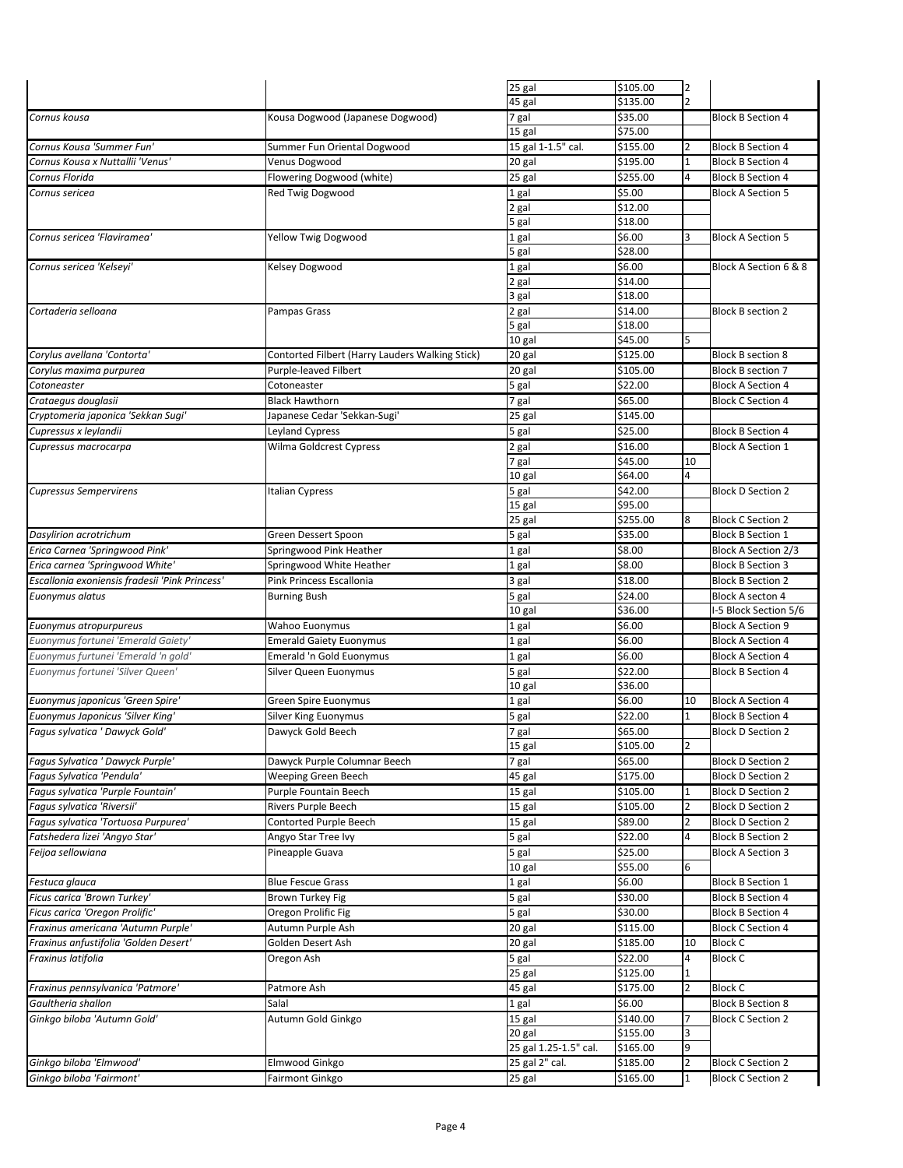|                                                     |                                                 | $\overline{25}$ gal      | \$105.00             | 2      |                                                      |
|-----------------------------------------------------|-------------------------------------------------|--------------------------|----------------------|--------|------------------------------------------------------|
|                                                     |                                                 | 45 gal                   | \$135.00             |        |                                                      |
|                                                     |                                                 |                          |                      |        |                                                      |
| Cornus kousa                                        | Kousa Dogwood (Japanese Dogwood)                | 7 gal                    | \$35.00              |        | <b>Block B Section 4</b>                             |
|                                                     |                                                 | 15 gal                   | \$75.00              |        |                                                      |
| Cornus Kousa 'Summer Fun'                           | Summer Fun Oriental Dogwood                     | 15 gal 1-1.5" cal.       | \$155.00             |        | <b>Block B Section 4</b>                             |
| Cornus Kousa x Nuttallii 'Venus'                    | Venus Dogwood                                   | 20 gal                   | \$195.00             | 1      | <b>Block B Section 4</b>                             |
| Cornus Florida                                      | Flowering Dogwood (white)                       | 25 gal                   | \$255.00             | 4      | <b>Block B Section 4</b>                             |
| Cornus sericea                                      | Red Twig Dogwood                                | 1 gal                    | \$5.00               |        | <b>Block A Section 5</b>                             |
|                                                     |                                                 | 2 gal                    | \$12.00              |        |                                                      |
|                                                     |                                                 | 5 gal                    | \$18.00              |        |                                                      |
| Cornus sericea 'Flaviramea'                         |                                                 |                          |                      | 3      | <b>Block A Section 5</b>                             |
|                                                     | Yellow Twig Dogwood                             | 1 gal                    | \$6.00<br>\$28.00    |        |                                                      |
|                                                     |                                                 | 5 gal                    |                      |        |                                                      |
| Cornus sericea 'Kelseyi'                            | Kelsey Dogwood                                  | 1 gal                    | \$6.00               |        | Block A Section 6 & 8                                |
|                                                     |                                                 | 2 gal                    | \$14.00              |        |                                                      |
|                                                     |                                                 | 3 gal                    | \$18.00              |        |                                                      |
| Cortaderia selloana                                 | Pampas Grass                                    | 2 gal                    | \$14.00              |        | <b>Block B section 2</b>                             |
|                                                     |                                                 | 5 gal                    | \$18.00              |        |                                                      |
|                                                     |                                                 | 10 gal                   | \$45.00              |        |                                                      |
| Corylus avellana 'Contorta'                         | Contorted Filbert (Harry Lauders Walking Stick) | 20 gal                   | \$125.00             |        | <b>Block B section 8</b>                             |
| Corylus maxima purpurea                             | Purple-leaved Filbert                           | 20 gal                   | \$105.00             |        | <b>Block B section 7</b>                             |
|                                                     |                                                 |                          |                      |        |                                                      |
| Cotoneaster                                         | Cotoneaster                                     | 5 gal                    | \$22.00              |        | <b>Block A Section 4</b>                             |
| Crataegus douglasii                                 | <b>Black Hawthorn</b>                           | 7 gal                    | \$65.00              |        | <b>Block C Section 4</b>                             |
| Cryptomeria japonica 'Sekkan Sugi'                  | Japanese Cedar 'Sekkan-Sugi'                    | 25 gal                   | \$145.00             |        |                                                      |
| Cupressus x leylandii                               | Leyland Cypress                                 | 5 gal                    | \$25.00              |        | <b>Block B Section 4</b>                             |
| Cupressus macrocarpa                                | Wilma Goldcrest Cypress                         | 2 gal                    | \$16.00              |        | <b>Block A Section 1</b>                             |
|                                                     |                                                 | 7 gal                    | \$45.00              | 10     |                                                      |
|                                                     |                                                 | 10 gal                   | \$64.00              | 4      |                                                      |
| <b>Cupressus Sempervirens</b>                       | <b>Italian Cypress</b>                          | 5 gal                    | \$42.00              |        | <b>Block D Section 2</b>                             |
|                                                     |                                                 |                          | \$95.00              |        |                                                      |
|                                                     |                                                 | 15 gal                   |                      |        |                                                      |
|                                                     |                                                 | 25 gal                   | \$255.00             | 8      | <b>Block C Section 2</b>                             |
| Dasylirion acrotrichum                              | Green Dessert Spoon                             | 5 gal                    | \$35.00              |        | <b>Block B Section 1</b>                             |
| Erica Carnea 'Springwood Pink'                      | Springwood Pink Heather                         | 1 gal                    | \$8.00               |        | Block A Section 2/3                                  |
| Erica carnea 'Springwood White'                     | Springwood White Heather                        | 1 gal                    | \$8.00               |        | <b>Block B Section 3</b>                             |
| Escallonia exoniensis fradesii 'Pink Princess'      | Pink Princess Escallonia                        | 3 gal                    | \$18.00              |        | <b>Block B Section 2</b>                             |
| Euonymus alatus                                     | <b>Burning Bush</b>                             | 5 gal                    | \$24.00              |        | <b>Block A secton 4</b>                              |
|                                                     |                                                 | 10 gal                   | \$36.00              |        | I-5 Block Section 5/6                                |
| Euonymus atropurpureus                              | Wahoo Euonymus                                  | 1 gal                    | \$6.00               |        | <b>Block A Section 9</b>                             |
| Euonymus fortunei 'Emerald Gaiety'                  | <b>Emerald Gaiety Euonymus</b>                  | 1 gal                    | \$6.00               |        | <b>Block A Section 4</b>                             |
|                                                     |                                                 |                          |                      |        |                                                      |
| Euonymus furtunei 'Emerald 'n gold'                 | Emerald 'n Gold Euonymus                        | 1 gal                    | \$6.00               |        | <b>Block A Section 4</b>                             |
| Euonymus fortunei 'Silver Queen'                    | Silver Queen Euonymus                           | 5 gal                    | \$22.00              |        | <b>Block B Section 4</b>                             |
|                                                     |                                                 | 10 gal                   | \$36.00              |        |                                                      |
| Euonymus japonicus 'Green Spire'                    | Green Spire Euonymus                            | 1 gal                    | \$6.00               | 10     | <b>Block A Section 4</b>                             |
| <b>Euonymus Japonicus 'Silver King'</b>             | Silver King Euonymus                            | 5 gal                    | \$22.00              | 1      | <b>Block B Section 4</b>                             |
| Fagus sylvatica ' Dawyck Gold'                      | Dawyck Gold Beech                               | 7 gal                    | \$65.00              |        | <b>Block D Section 2</b>                             |
|                                                     |                                                 | 15 gal                   | \$105.00             | 2      |                                                      |
| Fagus Sylvatica ' Dawyck Purple'                    | Dawyck Purple Columnar Beech                    | 7 gal                    | \$65.00              |        | <b>Block D Section 2</b>                             |
| Fagus Sylvatica 'Pendula'                           | Weeping Green Beech                             |                          | \$175.00             |        | <b>Block D Section 2</b>                             |
|                                                     |                                                 | 45 gal                   |                      |        |                                                      |
| Fagus sylvatica 'Purple Fountain'                   | Purple Fountain Beech                           | 15 gal                   | \$105.00             |        | <b>Block D Section 2</b>                             |
| Fagus sylvatica 'Riversii'                          | Rivers Purple Beech                             | 15 gal                   | \$105.00             | 2      | <b>Block D Section 2</b>                             |
| Fagus sylvatica 'Tortuosa Purpurea'                 | Contorted Purple Beech                          | 15 gal                   | \$89.00              | 2      | <b>Block D Section 2</b>                             |
| Fatshedera lizei 'Angyo Star'                       | Angyo Star Tree Ivy                             | 5 gal                    | \$22.00              | 4      | <b>Block B Section 2</b>                             |
| Feijoa sellowiana                                   | Pineapple Guava                                 | 5 gal                    | \$25.00              |        | <b>Block A Section 3</b>                             |
|                                                     |                                                 | 10 gal                   | \$55.00              | 6      |                                                      |
| Festuca glauca                                      | <b>Blue Fescue Grass</b>                        | 1 gal                    | \$6.00               |        | <b>Block B Section 1</b>                             |
| Ficus carica 'Brown Turkey'                         | Brown Turkey Fig                                | 5 gal                    | \$30.00              |        | <b>Block B Section 4</b>                             |
|                                                     |                                                 |                          |                      |        |                                                      |
| Ficus carica 'Oregon Prolific'                      | Oregon Prolific Fig                             | 5 gal                    | \$30.00              |        | <b>Block B Section 4</b>                             |
| Fraxinus americana 'Autumn Purple'                  | Autumn Purple Ash                               | 20 gal                   | \$115.00             |        | <b>Block C Section 4</b>                             |
| Fraxinus anfustifolia 'Golden Desert'               | Golden Desert Ash                               | 20 gal                   | \$185.00             | 10     | <b>Block C</b>                                       |
| Fraxinus latifolia                                  | Oregon Ash                                      | 5 gal                    | \$22.00              | 4      | <b>Block C</b>                                       |
|                                                     |                                                 |                          | \$125.00             | 1      |                                                      |
|                                                     |                                                 | 25 gal                   |                      |        |                                                      |
|                                                     |                                                 |                          |                      |        |                                                      |
| Fraxinus pennsylvanica 'Patmore'                    | Patmore Ash                                     | 45 gal                   | \$175.00             |        | <b>Block C</b>                                       |
| Gaultheria shallon                                  | Salal                                           | 1 gal                    | \$6.00               |        | <b>Block B Section 8</b>                             |
| Ginkgo biloba 'Autumn Gold'                         | Autumn Gold Ginkgo                              | 15 gal                   | \$140.00             |        | <b>Block C Section 2</b>                             |
|                                                     |                                                 | 20 gal                   | \$155.00             | 3      |                                                      |
|                                                     |                                                 | 25 gal 1.25-1.5" cal.    | \$165.00             | 9      |                                                      |
| Ginkgo biloba 'Elmwood'<br>Ginkgo biloba 'Fairmont' | Elmwood Ginkgo<br><b>Fairmont Ginkgo</b>        | 25 gal 2" cal.<br>25 gal | \$185.00<br>\$165.00 | 2<br>1 | <b>Block C Section 2</b><br><b>Block C Section 2</b> |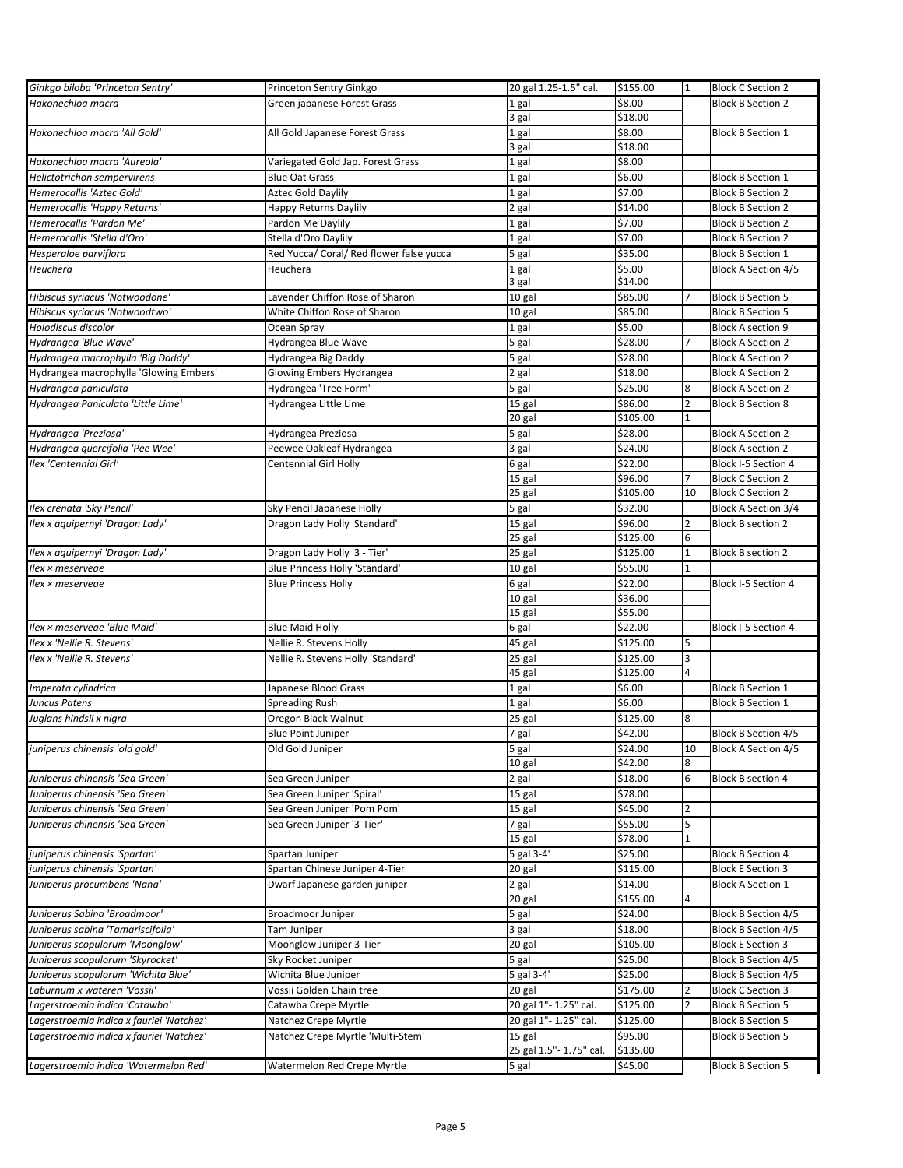| Ginkgo biloba 'Princeton Sentry'         | Princeton Sentry Ginkgo                  | 20 gal 1.25-1.5" cal.   | \$155.00 | 1              | <b>Block C Section 2</b>   |
|------------------------------------------|------------------------------------------|-------------------------|----------|----------------|----------------------------|
| Hakonechloa macra                        | Green japanese Forest Grass              | 1 gal                   | \$8.00   |                | <b>Block B Section 2</b>   |
|                                          |                                          | 3 gal                   | \$18.00  |                |                            |
| Hakonechloa macra 'All Gold'             | All Gold Japanese Forest Grass           | 1 gal                   | \$8.00   |                | <b>Block B Section 1</b>   |
|                                          |                                          | 3 gal                   | \$18.00  |                |                            |
| Hakonechloa macra 'Aureola'              | Variegated Gold Jap. Forest Grass        | 1 gal                   | \$8.00   |                |                            |
| Helictotrichon sempervirens              | <b>Blue Oat Grass</b>                    | 1 gal                   | \$6.00   |                | <b>Block B Section 1</b>   |
| Hemerocallis 'Aztec Gold'                | <b>Aztec Gold Daylily</b>                | 1 gal                   | \$7.00   |                | <b>Block B Section 2</b>   |
|                                          |                                          |                         |          |                | <b>Block B Section 2</b>   |
| Hemerocallis 'Happy Returns'             | Happy Returns Daylily                    | 2 gal                   | \$14.00  |                |                            |
| Hemerocallis 'Pardon Me'                 | Pardon Me Daylily                        | 1 gal                   | \$7.00   |                | <b>Block B Section 2</b>   |
| Hemerocallis 'Stella d'Oro'              | Stella d'Oro Daylily                     | 1 gal                   | \$7.00   |                | <b>Block B Section 2</b>   |
| Hesperaloe parviflora                    | Red Yucca/ Coral/ Red flower false yucca | 5 gal                   | \$35.00  |                | <b>Block B Section 1</b>   |
| Heuchera                                 | Heuchera                                 | 1 gal                   | \$5.00   |                | <b>Block A Section 4/5</b> |
|                                          |                                          | 3 gal                   | \$14.00  |                |                            |
| Hibiscus syriacus 'Notwoodone'           | Lavender Chiffon Rose of Sharon          | 10 gal                  | \$85.00  |                | <b>Block B Section 5</b>   |
| Hibiscus syriacus 'Notwoodtwo'           | White Chiffon Rose of Sharon             | 10 gal                  | \$85.00  |                | <b>Block B Section 5</b>   |
| Holodiscus discolor                      | Ocean Spray                              | 1 gal                   | \$5.00   |                | <b>Block A section 9</b>   |
| Hydrangea 'Blue Wave'                    | Hydrangea Blue Wave                      | 5 gal                   | \$28.00  |                | <b>Block A Section 2</b>   |
| Hydrangea macrophylla 'Big Daddy'        | Hydrangea Big Daddy                      | 5 gal                   | \$28.00  |                | <b>Block A Section 2</b>   |
| Hydrangea macrophylla 'Glowing Embers'   | Glowing Embers Hydrangea                 | 2 gal                   | \$18.00  |                | <b>Block A Section 2</b>   |
| Hydrangea paniculata                     | Hydrangea 'Tree Form'                    | 5 gal                   | \$25.00  | 8              | <b>Block A Section 2</b>   |
| Hydrangea Paniculata 'Little Lime'       | Hydrangea Little Lime                    | 15 gal                  | \$86.00  | 2              | <b>Block B Section 8</b>   |
|                                          |                                          | 20 gal                  | \$105.00 | $\mathbf{1}$   |                            |
| Hydrangea 'Preziosa'                     | Hydrangea Preziosa                       | 5 gal                   | \$28.00  |                | <b>Block A Section 2</b>   |
| Hydrangea quercifolia 'Pee Wee'          | Peewee Oakleaf Hydrangea                 | 3 gal                   | \$24.00  |                | <b>Block A section 2</b>   |
| Ilex 'Centennial Girl'                   | <b>Centennial Girl Holly</b>             | 6 gal                   | \$22.00  |                | Block I-5 Section 4        |
|                                          |                                          | 15 gal                  | \$96.00  | 7              | <b>Block C Section 2</b>   |
|                                          |                                          | 25 gal                  | \$105.00 | 10             | <b>Block C Section 2</b>   |
| Ilex crenata 'Sky Pencil'                | Sky Pencil Japanese Holly                | 5 gal                   | \$32.00  |                | Block A Section 3/4        |
| Ilex x aquipernyi 'Dragon Lady'          | Dragon Lady Holly 'Standard'             | 15 gal                  | \$96.00  | $\overline{2}$ | <b>Block B section 2</b>   |
|                                          |                                          | 25 gal                  | \$125.00 | 6              |                            |
| Ilex x aquipernyi 'Dragon Lady'          | Dragon Lady Holly '3 - Tier'             |                         | \$125.00 | $\mathbf{1}$   | <b>Block B section 2</b>   |
|                                          | <b>Blue Princess Holly 'Standard'</b>    | 25 gal                  |          | $\mathbf{1}$   |                            |
| llex × meserveae                         |                                          | 10 gal                  | \$55.00  |                |                            |
| llex × meserveae                         | <b>Blue Princess Holly</b>               | 6 gal                   | \$22.00  |                | Block I-5 Section 4        |
|                                          |                                          | 10 gal                  | \$36.00  |                |                            |
|                                          |                                          | $\overline{15}$ gal     | \$55.00  |                |                            |
| Ilex × meserveae 'Blue Maid'             | <b>Blue Maid Holly</b>                   | 6 gal                   | \$22.00  |                | Block I-5 Section 4        |
| Ilex x 'Nellie R. Stevens'               | Nellie R. Stevens Holly                  | 45 gal                  | \$125.00 | 5              |                            |
| Ilex x 'Nellie R. Stevens'               | Nellie R. Stevens Holly 'Standard'       | 25 gal                  | \$125.00 | 3              |                            |
|                                          |                                          | 45 gal                  | \$125.00 | 4              |                            |
| Imperata cylindrica                      | Japanese Blood Grass                     | 1 gal                   | \$6.00   |                | <b>Block B Section 1</b>   |
| Juncus Patens                            | Spreading Rush                           | 1 gal                   | \$6.00   |                | <b>Block B Section 1</b>   |
| Juglans hindsii x nigra                  | Oregon Black Walnut                      | 25 gal                  | \$125.00 | 8              |                            |
|                                          | <b>Blue Point Juniper</b>                | 7 gal                   | \$42.00  |                | Block B Section 4/5        |
| juniperus chinensis 'old gold'           | Old Gold Juniper                         | 5 gal                   | \$24.00  | 10             | <b>Block A Section 4/5</b> |
|                                          |                                          | 10 gal                  | \$42.00  | 8              |                            |
| Juniperus chinensis 'Sea Green'          | Sea Green Juniper                        | 2 gal                   | \$18.00  | 6              | <b>Block B section 4</b>   |
| Juniperus chinensis 'Sea Green'          | Sea Green Juniper 'Spiral'               | 15 gal                  | \$78.00  |                |                            |
| Juniperus chinensis 'Sea Green'          | Sea Green Juniper 'Pom Pom'              | 15 gal                  | \$45.00  | 2              |                            |
| Juniperus chinensis 'Sea Green'          | Sea Green Juniper '3-Tier'               | 7 gal                   | \$55.00  | 5              |                            |
|                                          |                                          | 15 gal                  | \$78.00  | 1              |                            |
| juniperus chinensis 'Spartan'            | Spartan Juniper                          | 5 gal 3-4'              | \$25.00  |                | <b>Block B Section 4</b>   |
| juniperus chinensis 'Spartan'            | Spartan Chinese Juniper 4-Tier           | 20 gal                  | \$115.00 |                | <b>Block E Section 3</b>   |
| Juniperus procumbens 'Nana'              | Dwarf Japanese garden juniper            | 2 gal                   | \$14.00  |                | <b>Block A Section 1</b>   |
|                                          |                                          | 20 gal                  | \$155.00 | 4              |                            |
| Juniperus Sabina 'Broadmoor'             | Broadmoor Juniper                        | 5 gal                   | \$24.00  |                | <b>Block B Section 4/5</b> |
| Juniperus sabina 'Tamariscifolia'        | Tam Juniper                              | 3 gal                   | \$18.00  |                | <b>Block B Section 4/5</b> |
| Juniperus scopulorum 'Moonglow'          | Moonglow Juniper 3-Tier                  | 20 gal                  | \$105.00 |                | <b>Block E Section 3</b>   |
| Juniperus scopulorum 'Skyrocket'         | Sky Rocket Juniper                       | 5 gal                   | \$25.00  |                | Block B Section 4/5        |
| Juniperus scopulorum 'Wichita Blue'      | Wichita Blue Juniper                     | 5 gal 3-4'              | \$25.00  |                | Block B Section 4/5        |
| Laburnum x watereri 'Vossii'             |                                          |                         |          | 2              |                            |
|                                          | Vossii Golden Chain tree                 | 20 gal                  | \$175.00 |                | <b>Block C Section 3</b>   |
| Lagerstroemia indica 'Catawba'           | Catawba Crepe Myrtle                     | 20 gal 1"- 1.25" cal.   | \$125.00 |                | <b>Block B Section 5</b>   |
| Lagerstroemia indica x fauriei 'Natchez' | Natchez Crepe Myrtle                     | 20 gal 1"- 1.25" cal.   | \$125.00 |                | <b>Block B Section 5</b>   |
| Lagerstroemia indica x fauriei 'Natchez' | Natchez Crepe Myrtle 'Multi-Stem'        | 15 gal                  | \$95.00  |                | <b>Block B Section 5</b>   |
|                                          |                                          | 25 gal 1.5"- 1.75" cal. | \$135.00 |                |                            |
| Lagerstroemia indica 'Watermelon Red'    | Watermelon Red Crepe Myrtle              | 5 gal                   | \$45.00  |                | <b>Block B Section 5</b>   |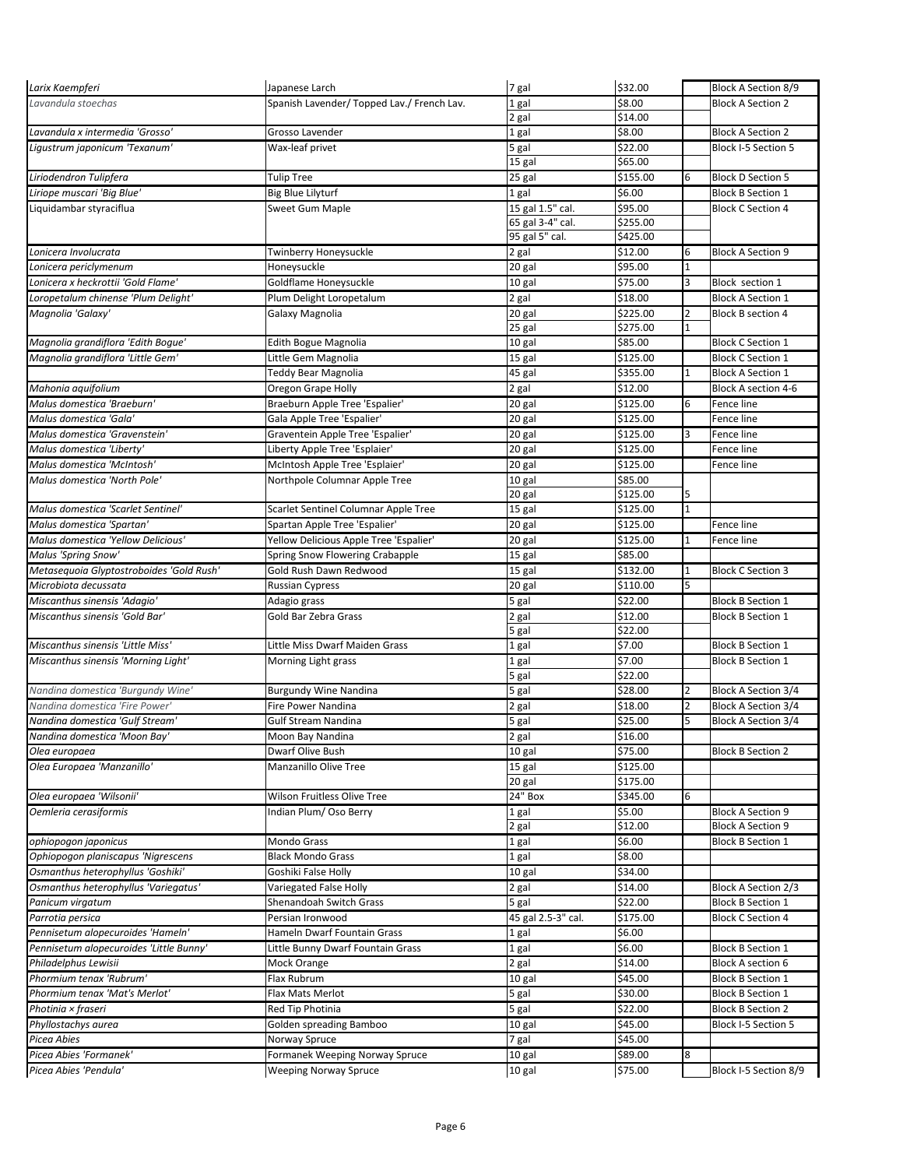| Larix Kaempferi                          | Japanese Larch                             | 7 gal              | \$32.00  |                | Block A Section 8/9      |
|------------------------------------------|--------------------------------------------|--------------------|----------|----------------|--------------------------|
| Lavandula stoechas                       | Spanish Lavender/ Topped Lav./ French Lav. | 1 gal              | \$8.00   |                | <b>Block A Section 2</b> |
|                                          |                                            | 2 gal              | \$14.00  |                |                          |
| Lavandula x intermedia 'Grosso'          | Grosso Lavender                            | 1 gal              | \$8.00   |                | <b>Block A Section 2</b> |
| Ligustrum japonicum 'Texanum'            | Wax-leaf privet                            | 5 gal              | \$22.00  |                | Block I-5 Section 5      |
|                                          |                                            | 15 gal             | \$65.00  |                |                          |
| Liriodendron Tulipfera                   | <b>Tulip Tree</b>                          | 25 gal             | \$155.00 | 6              | <b>Block D Section 5</b> |
| Liriope muscari 'Big Blue'               | <b>Big Blue Lilyturf</b>                   | 1 gal              | \$6.00   |                | <b>Block B Section 1</b> |
| Liquidambar styraciflua                  | Sweet Gum Maple                            | 15 gal 1.5" cal.   | \$95.00  |                | <b>Block C Section 4</b> |
|                                          |                                            | 65 gal 3-4" cal.   | \$255.00 |                |                          |
|                                          |                                            | 95 gal 5" cal.     | \$425.00 |                |                          |
| Lonicera Involucrata                     | Twinberry Honeysuckle                      | 2 gal              | \$12.00  | 6              | <b>Block A Section 9</b> |
| Lonicera periclymenum                    | Honeysuckle                                | 20 gal             | \$95.00  | $\overline{1}$ |                          |
| Lonicera x heckrottii 'Gold Flame'       | Goldflame Honeysuckle                      | 10 gal             | \$75.00  | 3              | Block section 1          |
| Loropetalum chinense 'Plum Delight'      | Plum Delight Loropetalum                   | 2 gal              | \$18.00  |                | <b>Block A Section 1</b> |
| Magnolia 'Galaxy'                        | Galaxy Magnolia                            | 20 gal             | \$225.00 | 2              | <b>Block B section 4</b> |
|                                          |                                            | 25 gal             | \$275.00 | 1              |                          |
| Magnolia grandiflora 'Edith Bogue'       | Edith Bogue Magnolia                       | 10 gal             | \$85.00  |                | <b>Block C Section 1</b> |
| Magnolia grandiflora 'Little Gem'        | Little Gem Magnolia                        | 15 gal             | \$125.00 |                | <b>Block C Section 1</b> |
|                                          | Teddy Bear Magnolia                        | 45 gal             | \$355.00 | 1              | <b>Block A Section 1</b> |
| Mahonia aquifolium                       | Oregon Grape Holly                         | 2 gal              | \$12.00  |                | Block A section 4-6      |
| Malus domestica 'Braeburn'               | Braeburn Apple Tree 'Espalier'             | 20 gal             | \$125.00 | 6              | Fence line               |
| Malus domestica 'Gala'                   | Gala Apple Tree 'Espalier'                 | 20 gal             | \$125.00 |                | Fence line               |
| Malus domestica 'Gravenstein'            | Graventein Apple Tree 'Espalier'           | 20 gal             | \$125.00 | 3              | Fence line               |
| Malus domestica 'Liberty'                | Liberty Apple Tree 'Esplaier'              | 20 gal             | \$125.00 |                | Fence line               |
| Malus domestica 'McIntosh'               | McIntosh Apple Tree 'Esplaier'             | 20 gal             | \$125.00 |                | Fence line               |
| Malus domestica 'North Pole'             | Northpole Columnar Apple Tree              | 10 gal             | \$85.00  |                |                          |
|                                          |                                            | 20 gal             | \$125.00 | 5              |                          |
| Malus domestica 'Scarlet Sentinel'       | Scarlet Sentinel Columnar Apple Tree       | 15 gal             | \$125.00 | 1              |                          |
| Malus domestica 'Spartan'                | Spartan Apple Tree 'Espalier'              | 20 gal             | \$125.00 |                | Fence line               |
| Malus domestica 'Yellow Delicious'       | Yellow Delicious Apple Tree 'Espalier'     | 20 gal             | \$125.00 | 1              | Fence line               |
| Malus 'Spring Snow'                      | Spring Snow Flowering Crabapple            | 15 gal             | \$85.00  |                |                          |
| Metasequoia Glyptostroboides 'Gold Rush' | Gold Rush Dawn Redwood                     | 15 gal             | \$132.00 | 1              | <b>Block C Section 3</b> |
|                                          |                                            |                    |          |                |                          |
|                                          |                                            |                    |          |                |                          |
| Microbiota decussata                     | <b>Russian Cypress</b>                     | 20 gal             | \$110.00 | 5              |                          |
| Miscanthus sinensis 'Adagio'             | Adagio grass                               | 5 gal              | \$22.00  |                | <b>Block B Section 1</b> |
| Miscanthus sinensis 'Gold Bar'           | Gold Bar Zebra Grass                       | 2 gal              | \$12.00  |                | <b>Block B Section 1</b> |
|                                          |                                            | 5 gal              | \$22.00  |                |                          |
| Miscanthus sinensis 'Little Miss'        | Little Miss Dwarf Maiden Grass             | 1 gal              | \$7.00   |                | <b>Block B Section 1</b> |
| Miscanthus sinensis 'Morning Light'      | Morning Light grass                        | 1 gal              | \$7.00   |                | <b>Block B Section 1</b> |
|                                          |                                            | 5 gal              | \$22.00  |                |                          |
| Nandina domestica 'Burgundy Wine'        | <b>Burgundy Wine Nandina</b>               | 5 gal              | \$28.00  | 2              | Block A Section 3/4      |
| Nandina domestica 'Fire Power'           | Fire Power Nandina                         | 2 gal              | \$18.00  | $\overline{2}$ | Block A Section 3/4      |
| Nandina domestica 'Gulf Stream'          | <b>Gulf Stream Nandina</b>                 | 5 gal              | \$25.00  | 5              | Block A Section 3/4      |
| Nandina domestica 'Moon Bay'             | Moon Bay Nandina                           | 2 gal              | \$16.00  |                |                          |
| Olea europaea                            | Dwarf Olive Bush                           | 10 gal             | \$75.00  |                | <b>Block B Section 2</b> |
| Olea Europaea 'Manzanillo'               | Manzanillo Olive Tree                      | 15 gal             | \$125.00 |                |                          |
|                                          |                                            | 20 gal             | \$175.00 |                |                          |
| Olea europaea 'Wilsonii'                 | Wilson Fruitless Olive Tree                | 24" Box            | \$345.00 | 6              |                          |
| Oemleria cerasiformis                    | Indian Plum/ Oso Berry                     | 1 gal              | \$5.00   |                | <b>Block A Section 9</b> |
|                                          |                                            | 2 gal              | \$12.00  |                | <b>Block A Section 9</b> |
| ophiopogon japonicus                     | Mondo Grass                                | 1 gal              | \$6.00   |                | <b>Block B Section 1</b> |
| Ophiopogon planiscapus 'Nigrescens       | <b>Black Mondo Grass</b>                   | 1 gal              | \$8.00   |                |                          |
| Osmanthus heterophyllus 'Goshiki'        | Goshiki False Holly                        | 10 gal             | \$34.00  |                |                          |
| Osmanthus heterophyllus 'Variegatus'     | Variegated False Holly                     | 2 gal              | \$14.00  |                | Block A Section 2/3      |
| Panicum virgatum                         | Shenandoah Switch Grass                    | 5 gal              | \$22.00  |                | <b>Block B Section 1</b> |
| Parrotia persica                         | Persian Ironwood                           | 45 gal 2.5-3" cal. | \$175.00 |                | <b>Block C Section 4</b> |
| Pennisetum alopecuroides 'Hameln'        | Hameln Dwarf Fountain Grass                | 1 gal              | \$6.00   |                |                          |
| Pennisetum alopecuroides 'Little Bunny'  | Little Bunny Dwarf Fountain Grass          | 1 gal              | \$6.00   |                | <b>Block B Section 1</b> |
| Philadelphus Lewisii                     | Mock Orange                                | 2 gal              | \$14.00  |                | <b>Block A section 6</b> |
| Phormium tenax 'Rubrum'                  | Flax Rubrum                                | 10 gal             | \$45.00  |                | <b>Block B Section 1</b> |
| Phormium tenax 'Mat's Merlot'            | Flax Mats Merlot                           | 5 gal              | \$30.00  |                | <b>Block B Section 1</b> |
| Photinia × fraseri                       | Red Tip Photinia                           | 5 gal              | \$22.00  |                | <b>Block B Section 2</b> |
| Phyllostachys aurea                      | Golden spreading Bamboo                    | 10 gal             | \$45.00  |                | Block I-5 Section 5      |
| Picea Abies                              | Norway Spruce                              | 7 gal              | \$45.00  |                |                          |
| Picea Abies 'Formanek'                   | Formanek Weeping Norway Spruce             | 10 gal             | \$89.00  | 8              |                          |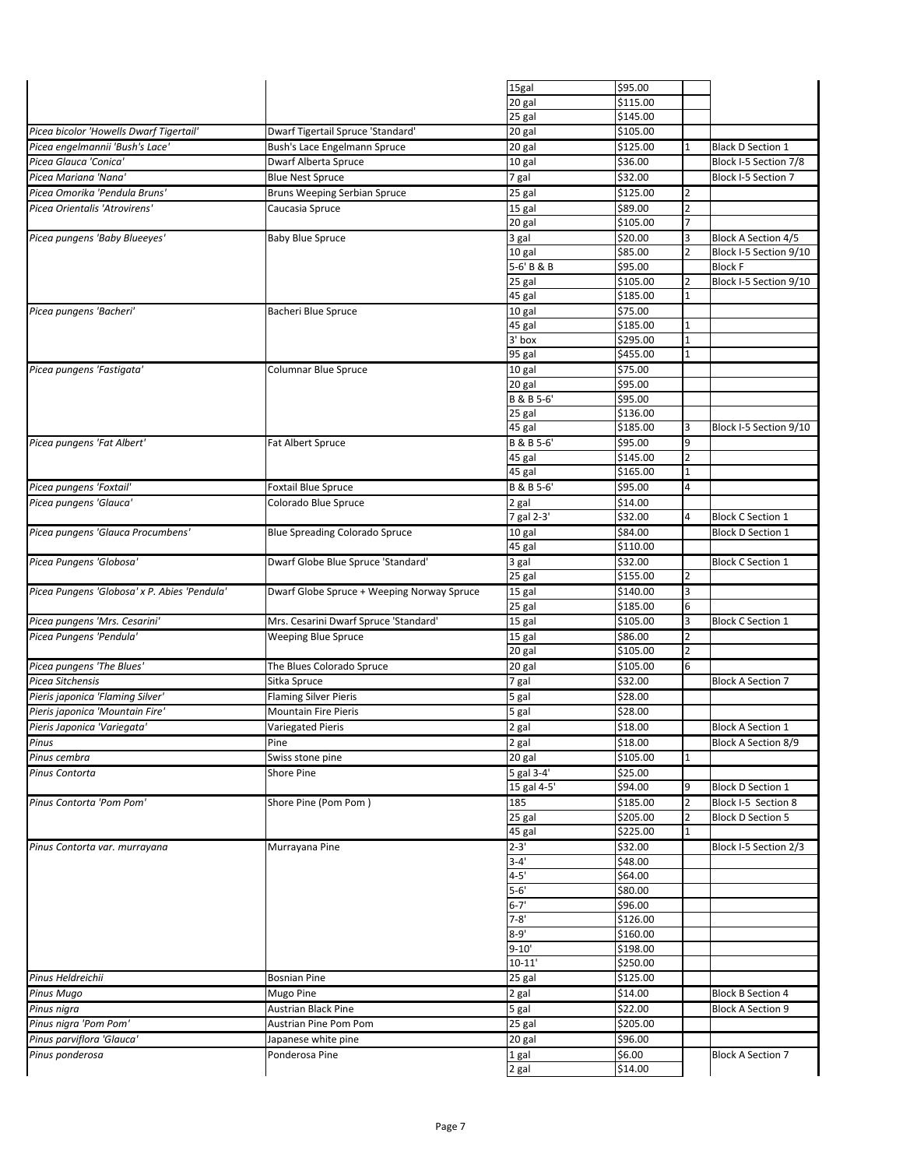|                                              |                                            | 15gal       | \$95.00  |                          |                            |
|----------------------------------------------|--------------------------------------------|-------------|----------|--------------------------|----------------------------|
|                                              |                                            | 20 gal      | \$115.00 |                          |                            |
|                                              |                                            | 25 gal      | \$145.00 |                          |                            |
| Picea bicolor 'Howells Dwarf Tigertail'      | Dwarf Tigertail Spruce 'Standard'          |             | \$105.00 |                          |                            |
|                                              |                                            | 20 gal      |          |                          |                            |
| Picea engelmannii 'Bush's Lace'              | Bush's Lace Engelmann Spruce               | 20 gal      | \$125.00 |                          | <b>Black D Section 1</b>   |
| Picea Glauca 'Conica'                        | Dwarf Alberta Spruce                       | 10 gal      | \$36.00  |                          | Block I-5 Section 7/8      |
| Picea Mariana 'Nana'                         |                                            |             |          |                          |                            |
|                                              | <b>Blue Nest Spruce</b>                    | 7 gal       | \$32.00  |                          | Block I-5 Section 7        |
| Picea Omorika 'Pendula Bruns'                | Bruns Weeping Serbian Spruce               | 25 gal      | \$125.00 | 2                        |                            |
| Picea Orientalis 'Atrovirens'                | Caucasia Spruce                            | 15 gal      | \$89.00  | $\overline{\phantom{a}}$ |                            |
|                                              |                                            |             | \$105.00 |                          |                            |
|                                              |                                            | 20 gal      |          |                          |                            |
| Picea pungens 'Baby Blueeyes'                | <b>Baby Blue Spruce</b>                    | 3 gal       | \$20.00  | З                        | <b>Block A Section 4/5</b> |
|                                              |                                            | 10 gal      | \$85.00  |                          | Block I-5 Section 9/10     |
|                                              |                                            | 5-6' B & B  | \$95.00  |                          | <b>Block F</b>             |
|                                              |                                            |             |          |                          |                            |
|                                              |                                            | 25 gal      | \$105.00 | 2                        | Block I-5 Section 9/10     |
|                                              |                                            | 45 gal      | \$185.00 |                          |                            |
| Picea pungens 'Bacheri'                      | Bacheri Blue Spruce                        | 10 gal      | \$75.00  |                          |                            |
|                                              |                                            |             | \$185.00 | 1                        |                            |
|                                              |                                            | 45 gal      |          |                          |                            |
|                                              |                                            | 3' box      | \$295.00 |                          |                            |
|                                              |                                            | 95 gal      | \$455.00 | 1                        |                            |
| Picea pungens 'Fastigata'                    | <b>Columnar Blue Spruce</b>                | 10 gal      | \$75.00  |                          |                            |
|                                              |                                            |             |          |                          |                            |
|                                              |                                            | 20 gal      | \$95.00  |                          |                            |
|                                              |                                            | B & B 5-6'  | \$95.00  |                          |                            |
|                                              |                                            | 25 gal      | \$136.00 |                          |                            |
|                                              |                                            | 45 gal      | \$185.00 | 3                        | Block I-5 Section 9/10     |
|                                              |                                            |             |          |                          |                            |
| Picea pungens 'Fat Albert'                   | Fat Albert Spruce                          | B & B 5-6'  | \$95.00  | 9                        |                            |
|                                              |                                            | 45 gal      | \$145.00 | 2                        |                            |
|                                              |                                            | 45 gal      | \$165.00 | $\overline{1}$           |                            |
|                                              |                                            |             |          |                          |                            |
| Picea pungens 'Foxtail'                      | <b>Foxtail Blue Spruce</b>                 | B & B 5-6'  | \$95.00  | 4                        |                            |
| Picea pungens 'Glauca'                       | Colorado Blue Spruce                       | 2 gal       | \$14.00  |                          |                            |
|                                              |                                            | 7 gal 2-3'  | \$32.00  |                          | <b>Block C Section 1</b>   |
|                                              |                                            |             |          |                          |                            |
| Picea pungens 'Glauca Procumbens'            | <b>Blue Spreading Colorado Spruce</b>      | 10 gal      | \$84.00  |                          | <b>Block D Section 1</b>   |
|                                              |                                            | 45 gal      | \$110.00 |                          |                            |
| Picea Pungens 'Globosa'                      | Dwarf Globe Blue Spruce 'Standard'         | 3 gal       | \$32.00  |                          | <b>Block C Section 1</b>   |
|                                              |                                            | 25 gal      | \$155.00 | 2                        |                            |
|                                              |                                            |             |          |                          |                            |
| Picea Pungens 'Globosa' x P. Abies 'Pendula' | Dwarf Globe Spruce + Weeping Norway Spruce | 15 gal      | \$140.00 | З                        |                            |
|                                              |                                            | 25 gal      | \$185.00 | 6                        |                            |
| Picea pungens 'Mrs. Cesarini'                | Mrs. Cesarini Dwarf Spruce 'Standard'      | $15$ gal    | \$105.00 | 3                        | <b>Block C Section 1</b>   |
|                                              |                                            |             |          |                          |                            |
| Picea Pungens 'Pendula'                      | Weeping Blue Spruce                        | 15 gal      | \$86.00  | 2                        |                            |
|                                              |                                            | 20 gal      | \$105.00 | $\overline{2}$           |                            |
| Picea pungens 'The Blues'                    | The Blues Colorado Spruce                  | 20 gal      | \$105.00 | 6                        |                            |
| Picea Sitchensis                             |                                            |             | \$32.00  |                          |                            |
|                                              | Sitka Spruce                               | 7 gal       |          |                          | <b>Block A Section 7</b>   |
| Pieris japonica 'Flaming Silver'             | <b>Flaming Silver Pieris</b>               | 5 gal       | \$28.00  |                          |                            |
| Pieris japonica 'Mountain Fire'              | <b>Mountain Fire Pieris</b>                | 5 gal       | \$28.00  |                          |                            |
|                                              |                                            |             | \$18.00  |                          | <b>Block A Section 1</b>   |
| Pieris Japonica 'Variegata'                  | <b>Variegated Pieris</b>                   | 2 gal       |          |                          |                            |
| Pinus                                        | Pine                                       | 2 gal       | \$18.00  |                          | Block A Section 8/9        |
| Pinus cembra                                 | Swiss stone pine                           | 20 gal      | \$105.00 | $\mathbf 1$              |                            |
|                                              |                                            |             |          |                          |                            |
| Pinus Contorta                               | Shore Pine                                 | 5 gal 3-4'  | \$25.00  |                          |                            |
|                                              |                                            | 15 gal 4-5' | \$94.00  | 9                        | <b>Block D Section 1</b>   |
| Pinus Contorta 'Pom Pom'                     | Shore Pine (Pom Pom)                       | 185         | \$185.00 | 2                        | Block I-5 Section 8        |
|                                              |                                            | 25 gal      | \$205.00 |                          | <b>Block D Section 5</b>   |
|                                              |                                            |             | \$225.00 | 1                        |                            |
|                                              |                                            | 45 gal      |          |                          |                            |
| Pinus Contorta var. murrayana                | Murrayana Pine                             | $2 - 3'$    | \$32.00  |                          | Block I-5 Section 2/3      |
|                                              |                                            | $3 - 4'$    | \$48.00  |                          |                            |
|                                              |                                            | $4 - 5'$    | \$64.00  |                          |                            |
|                                              |                                            |             |          |                          |                            |
|                                              |                                            | $5 - 6'$    | \$80.00  |                          |                            |
|                                              |                                            | $6 - 7'$    | \$96.00  |                          |                            |
|                                              |                                            | $7 - 8'$    | \$126.00 |                          |                            |
|                                              |                                            | $8 - 9'$    | \$160.00 |                          |                            |
|                                              |                                            |             |          |                          |                            |
|                                              |                                            | $9 - 10'$   | \$198.00 |                          |                            |
|                                              |                                            | $10 - 11'$  | \$250.00 |                          |                            |
| Pinus Heldreichii                            | <b>Bosnian Pine</b>                        | 25 gal      | \$125.00 |                          |                            |
|                                              |                                            |             |          |                          |                            |
| Pinus Mugo                                   | Mugo Pine                                  | 2 gal       | \$14.00  |                          | <b>Block B Section 4</b>   |
| Pinus nigra                                  | Austrian Black Pine                        | 5 gal       | \$22.00  |                          | <b>Block A Section 9</b>   |
| Pinus nigra 'Pom Pom'                        | Austrian Pine Pom Pom                      | $25$ gal    | \$205.00 |                          |                            |
|                                              |                                            |             |          |                          |                            |
| Pinus parviflora 'Glauca'                    | Japanese white pine                        | 20 gal      | \$96.00  |                          |                            |
| Pinus ponderosa                              | Ponderosa Pine                             | 1 gal       | \$6.00   |                          | <b>Block A Section 7</b>   |
|                                              |                                            | 2 gal       | \$14.00  |                          |                            |
|                                              |                                            |             |          |                          |                            |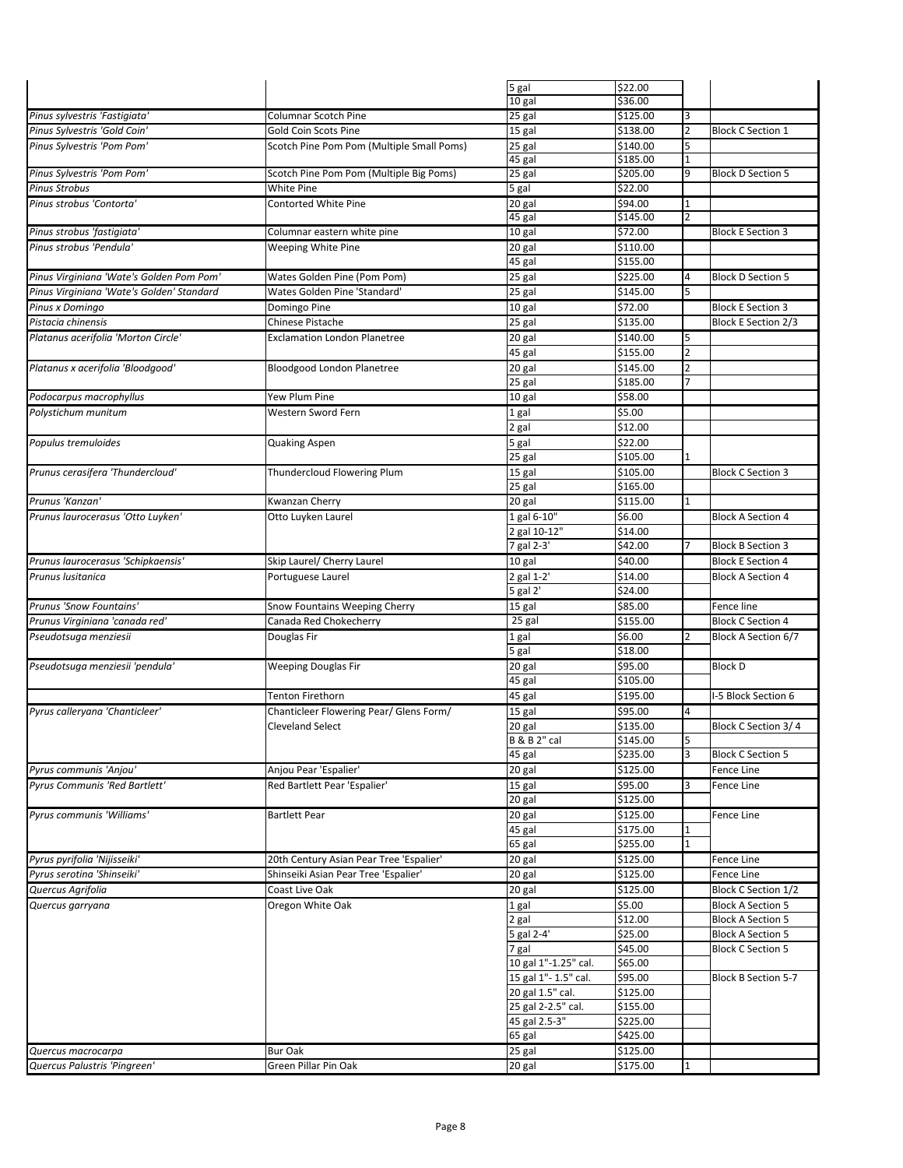|                                           |                                           | 5 gal                   | \$22.00  |   |                          |
|-------------------------------------------|-------------------------------------------|-------------------------|----------|---|--------------------------|
|                                           |                                           | 10 gal                  | \$36.00  |   |                          |
| Pinus sylvestris 'Fastigiata'             | <b>Columnar Scotch Pine</b>               | 25 gal                  | \$125.00 |   |                          |
| Pinus Sylvestris 'Gold Coin'              | Gold Coin Scots Pine                      | 15 gal                  | \$138.00 |   | <b>Block C Section 1</b> |
|                                           |                                           |                         |          |   |                          |
| Pinus Sylvestris 'Pom Pom'                | Scotch Pine Pom Pom (Multiple Small Poms) | 25 gal                  | \$140.00 | 5 |                          |
|                                           |                                           | 45 gal                  | \$185.00 |   |                          |
| Pinus Sylvestris 'Pom Pom'                | Scotch Pine Pom Pom (Multiple Big Poms)   | 25 gal                  | \$205.00 | 9 | <b>Block D Section 5</b> |
| <b>Pinus Strobus</b>                      | <b>White Pine</b>                         | 5 gal                   | \$22.00  |   |                          |
|                                           |                                           |                         |          |   |                          |
| Pinus strobus 'Contorta'                  | Contorted White Pine                      | 20 gal                  | \$94.00  | 1 |                          |
|                                           |                                           | 45 gal                  | \$145.00 |   |                          |
| Pinus strobus 'fastigiata'                | Columnar eastern white pine               | 10 gal                  | \$72.00  |   | <b>Block E Section 3</b> |
| Pinus strobus 'Pendula'                   | Weeping White Pine                        | 20 gal                  | \$110.00 |   |                          |
|                                           |                                           | 45 gal                  | \$155.00 |   |                          |
|                                           |                                           |                         |          |   |                          |
| Pinus Virginiana 'Wate's Golden Pom Pom'  | Wates Golden Pine (Pom Pom)               | 25 gal                  | \$225.00 | 4 | <b>Block D Section 5</b> |
| Pinus Virginiana 'Wate's Golden' Standard | Wates Golden Pine 'Standard'              | 25 gal                  | \$145.00 | 5 |                          |
| Pinus x Domingo                           | Domingo Pine                              | 10 gal                  | \$72.00  |   | <b>Block E Section 3</b> |
|                                           |                                           |                         |          |   |                          |
| Pistacia chinensis                        | Chinese Pistache                          | 25 gal                  | \$135.00 |   | Block E Section 2/3      |
| Platanus acerifolia 'Morton Circle'       | <b>Exclamation London Planetree</b>       | 20 gal                  | \$140.00 | 5 |                          |
|                                           |                                           | 45 gal                  | \$155.00 | 2 |                          |
| Platanus x acerifolia 'Bloodgood'         |                                           |                         |          |   |                          |
|                                           | Bloodgood London Planetree                | 20 gal                  | \$145.00 |   |                          |
|                                           |                                           | 25 gal                  | \$185.00 |   |                          |
| Podocarpus macrophyllus                   | Yew Plum Pine                             | 10 gal                  | \$58.00  |   |                          |
| Polystichum munitum                       | Western Sword Fern                        | 1 gal                   | \$5.00   |   |                          |
|                                           |                                           |                         |          |   |                          |
|                                           |                                           | 2 gal                   | \$12.00  |   |                          |
| Populus tremuloides                       | <b>Quaking Aspen</b>                      | 5 gal                   | \$22.00  |   |                          |
|                                           |                                           | 25 gal                  | \$105.00 |   |                          |
| Prunus cerasifera 'Thundercloud'          | Thundercloud Flowering Plum               | $\overline{15}$ gal     | \$105.00 |   | <b>Block C Section 3</b> |
|                                           |                                           |                         |          |   |                          |
|                                           |                                           | 25 gal                  | \$165.00 |   |                          |
| Prunus 'Kanzan'                           | Kwanzan Cherry                            | 20 gal                  | \$115.00 |   |                          |
| Prunus laurocerasus 'Otto Luyken'         | Otto Luyken Laurel                        | 1 gal 6-10"             | \$6.00   |   | <b>Block A Section 4</b> |
|                                           |                                           |                         |          |   |                          |
|                                           |                                           | 2 gal 10-12"            | \$14.00  |   |                          |
|                                           |                                           | 7 gal 2-3'              | \$42.00  |   | <b>Block B Section 3</b> |
| Prunus laurocerasus 'Schipkaensis'        | Skip Laurel/ Cherry Laurel                | 10 gal                  | \$40.00  |   | <b>Block E Section 4</b> |
| Prunus lusitanica                         | Portuguese Laurel                         | 2 gal 1-2'              | \$14.00  |   | <b>Block A Section 4</b> |
|                                           |                                           |                         |          |   |                          |
|                                           |                                           | 5 gal 2'                | \$24.00  |   |                          |
| <b>Prunus 'Snow Fountains'</b>            | Snow Fountains Weeping Cherry             | $15$ gal                | \$85.00  |   | Fence line               |
| Prunus Virginiana 'canada red'            | Canada Red Chokecherry                    | 25 gal                  | \$155.00 |   | <b>Block C Section 4</b> |
|                                           |                                           |                         |          | 2 |                          |
| Pseudotsuga menziesii                     | Douglas Fir                               | 1 gal                   | \$6.00   |   | Block A Section 6/7      |
|                                           |                                           | 5 gal                   | \$18.00  |   |                          |
| Pseudotsuga menziesii 'pendula'           | <b>Weeping Douglas Fir</b>                | 20 gal                  | \$95.00  |   | <b>Block D</b>           |
|                                           |                                           | 45 gal                  | \$105.00 |   |                          |
|                                           |                                           |                         |          |   |                          |
|                                           | <b>Tenton Firethorn</b>                   | 45 gal                  | \$195.00 |   | I-5 Block Section 6      |
| Pyrus calleryana 'Chanticleer'            | Chanticleer Flowering Pear/ Glens Form/   | 15 gal                  | \$95.00  | 4 |                          |
|                                           | <b>Cleveland Select</b>                   | 20 gal                  | \$135.00 |   | Block C Section 3/4      |
|                                           |                                           | <b>B &amp; B 2" cal</b> | \$145.00 |   |                          |
|                                           |                                           |                         |          |   |                          |
|                                           |                                           | 45 gal                  | \$235.00 | 3 | <b>Block C Section 5</b> |
| Pyrus communis 'Anjou'                    | Anjou Pear 'Espalier'                     | 20 gal                  | \$125.00 |   | Fence Line               |
| Pyrus Communis 'Red Bartlett'             | Red Bartlett Pear 'Espalier'              | 15 gal                  | \$95.00  |   | Fence Line               |
|                                           |                                           | 20 gal                  | \$125.00 |   |                          |
|                                           |                                           |                         |          |   |                          |
| Pyrus communis 'Williams'                 | <b>Bartlett Pear</b>                      | 20 gal                  | \$125.00 |   | Fence Line               |
|                                           |                                           | 45 gal                  | \$175.00 |   |                          |
|                                           |                                           | 65 gal                  | \$255.00 | 1 |                          |
| Pyrus pyrifolia 'Nijisseiki'              | 20th Century Asian Pear Tree 'Espalier'   | 20 gal                  | \$125.00 |   | Fence Line               |
|                                           |                                           |                         |          |   |                          |
| Pyrus serotina 'Shinseiki'                | Shinseiki Asian Pear Tree 'Espalier'      | 20 gal                  | \$125.00 |   | Fence Line               |
| Quercus Agrifolia                         | Coast Live Oak                            | 20 gal                  | \$125.00 |   | Block C Section 1/2      |
| Quercus garryana                          | Oregon White Oak                          | 1 gal                   | \$5.00   |   | <b>Block A Section 5</b> |
|                                           |                                           |                         |          |   |                          |
|                                           |                                           | 2 gal                   | \$12.00  |   | <b>Block A Section 5</b> |
|                                           |                                           | 5 gal 2-4'              | \$25.00  |   | <b>Block A Section 5</b> |
|                                           |                                           | 7 gal                   | \$45.00  |   | <b>Block C Section 5</b> |
|                                           |                                           | 10 gal 1"-1.25" cal.    | \$65.00  |   |                          |
|                                           |                                           |                         |          |   |                          |
|                                           |                                           | 15 gal 1"- 1.5" cal.    | \$95.00  |   | Block B Section 5-7      |
|                                           |                                           |                         | \$125.00 |   |                          |
|                                           |                                           | 20 gal 1.5" cal.        |          |   |                          |
|                                           |                                           | 25 gal 2-2.5" cal.      | \$155.00 |   |                          |
|                                           |                                           |                         |          |   |                          |
|                                           |                                           | 45 gal 2.5-3"           | \$225.00 |   |                          |
|                                           |                                           | 65 gal                  | \$425.00 |   |                          |
| Quercus macrocarpa                        | <b>Bur Oak</b>                            | 25 gal                  | \$125.00 |   |                          |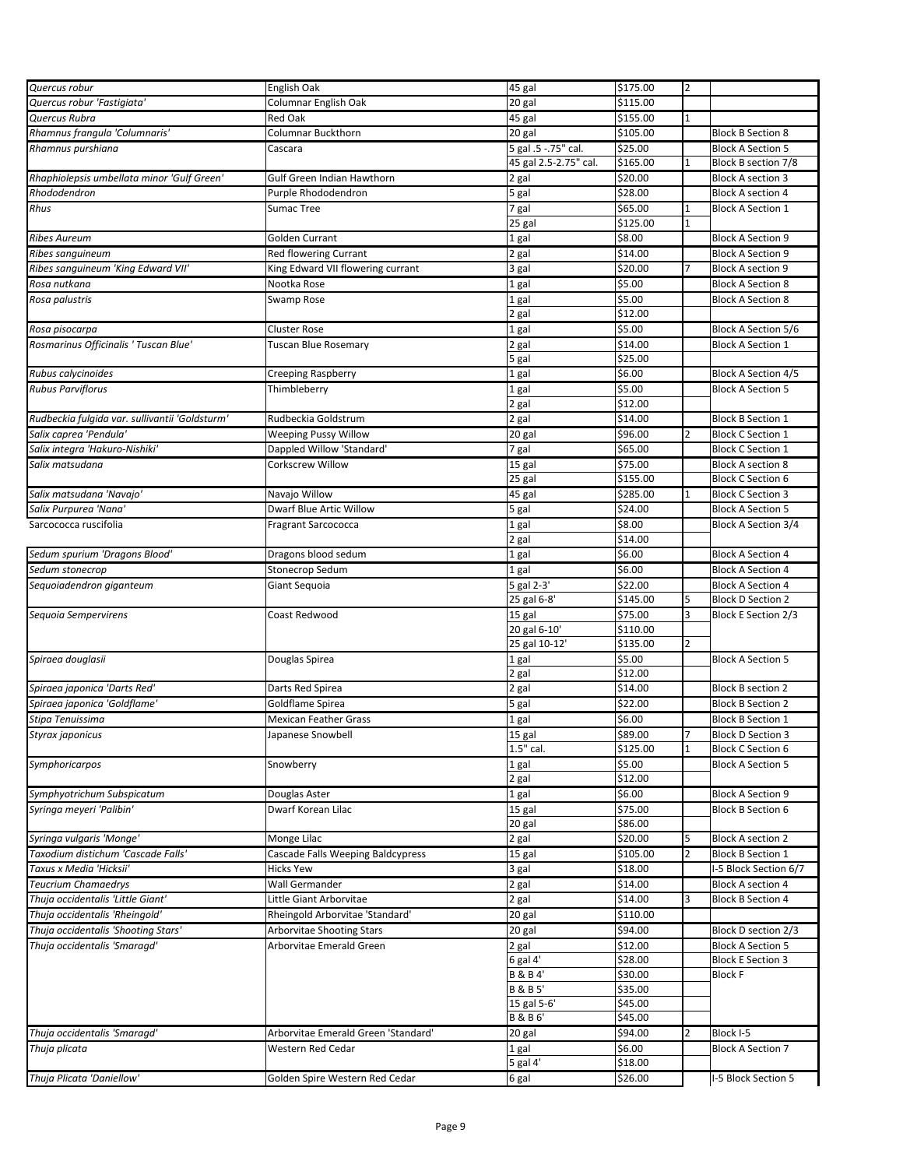| Quercus robur                                      | English Oak                         | 45 gal                    | \$175.00          | $\overline{2}$ |                            |
|----------------------------------------------------|-------------------------------------|---------------------------|-------------------|----------------|----------------------------|
| Quercus robur 'Fastigiata'                         | Columnar English Oak                | 20 gal                    | \$115.00          |                |                            |
| Quercus Rubra                                      | Red Oak                             | 45 gal                    | \$155.00          | 1              |                            |
| Rhamnus frangula 'Columnaris'                      | Columnar Buckthorn                  | 20 gal                    | \$105.00          |                | <b>Block B Section 8</b>   |
| Rhamnus purshiana                                  | Cascara                             | 5 gal .5 -.75" cal.       | \$25.00           |                | <b>Block A Section 5</b>   |
|                                                    |                                     | 45 gal 2.5-2.75" cal.     | \$165.00          |                | Block B section 7/8        |
| Rhaphiolepsis umbellata minor 'Gulf Green'         | Gulf Green Indian Hawthorn          | 2 gal                     | \$20.00           |                | <b>Block A section 3</b>   |
| Rhododendron                                       | Purple Rhododendron                 | 5 gal                     | \$28.00           |                | <b>Block A section 4</b>   |
| Rhus                                               | <b>Sumac Tree</b>                   | 7 gal                     | \$65.00           | 1              | <b>Block A Section 1</b>   |
|                                                    |                                     | 25 gal                    | \$125.00          | $\mathbf 1$    |                            |
| <b>Ribes Aureum</b>                                | Golden Currant                      | 1 gal                     | \$8.00            |                | <b>Block A Section 9</b>   |
| Ribes sanguineum                                   | <b>Red flowering Currant</b>        | 2 gal                     | \$14.00           |                | <b>Block A Section 9</b>   |
|                                                    |                                     |                           |                   |                |                            |
| Ribes sanguineum 'King Edward VII'<br>Rosa nutkana | King Edward VII flowering currant   | 3 gal                     | \$20.00           |                | <b>Block A section 9</b>   |
|                                                    | Nootka Rose                         | 1 gal                     | \$5.00            |                | <b>Block A Section 8</b>   |
| Rosa palustris                                     | Swamp Rose                          | 1 gal                     | \$5.00            |                | <b>Block A Section 8</b>   |
|                                                    |                                     | 2 gal                     | \$12.00           |                |                            |
| Rosa pisocarpa                                     | <b>Cluster Rose</b>                 | 1 gal                     | \$5.00            |                | Block A Section 5/6        |
| Rosmarinus Officinalis ' Tuscan Blue'              | Tuscan Blue Rosemary                | 2 gal                     | \$14.00           |                | <b>Block A Section 1</b>   |
|                                                    |                                     | 5 gal                     | \$25.00           |                |                            |
| Rubus calycinoides                                 | <b>Creeping Raspberry</b>           | 1 gal                     | \$6.00            |                | Block A Section 4/5        |
| <b>Rubus Parviflorus</b>                           | Thimbleberry                        | 1 gal                     | \$5.00            |                | <b>Block A Section 5</b>   |
|                                                    |                                     | 2 gal                     | \$12.00           |                |                            |
| Rudbeckia fulgida var. sullivantii 'Goldsturm'     | Rudbeckia Goldstrum                 | 2 gal                     | \$14.00           |                | <b>Block B Section 1</b>   |
| Salix caprea 'Pendula'                             | <b>Weeping Pussy Willow</b>         | 20 gal                    | \$96.00           | 2              | <b>Block C Section 1</b>   |
| Salix integra 'Hakuro-Nishiki'                     | Dappled Willow 'Standard'           | 7 gal                     | \$65.00           |                | <b>Block C Section 1</b>   |
| Salix matsudana                                    | Corkscrew Willow                    | 15 gal                    | \$75.00           |                | <b>Block A section 8</b>   |
|                                                    |                                     | 25 gal                    | \$155.00          |                | <b>Block C Section 6</b>   |
| Salix matsudana 'Navajo'                           | Navajo Willow                       | 45 gal                    | \$285.00          |                | <b>Block C Section 3</b>   |
| Salix Purpurea 'Nana'                              | Dwarf Blue Artic Willow             | 5 gal                     | \$24.00           |                | <b>Block A Section 5</b>   |
| Sarcococca ruscifolia                              | <b>Fragrant Sarcococca</b>          | 1 gal                     | \$8.00            |                | <b>Block A Section 3/4</b> |
|                                                    |                                     | 2 gal                     | \$14.00           |                |                            |
| Sedum spurium 'Dragons Blood'                      | Dragons blood sedum                 | 1 gal                     | \$6.00            |                | <b>Block A Section 4</b>   |
| Sedum stonecrop                                    | Stonecrop Sedum                     | 1 gal                     | \$6.00            |                | <b>Block A Section 4</b>   |
|                                                    |                                     |                           | \$22.00           |                | <b>Block A Section 4</b>   |
| Sequoiadendron giganteum                           | Giant Sequoia                       | 5 gal 2-3'<br>25 gal 6-8' | \$145.00          | 5              | <b>Block D Section 2</b>   |
|                                                    |                                     |                           |                   |                |                            |
| Sequoia Sempervirens                               | Coast Redwood                       | 15 gal                    | \$75.00           | 3              | Block E Section 2/3        |
|                                                    |                                     | 20 gal 6-10'              | \$110.00          |                |                            |
|                                                    |                                     | 25 gal 10-12'             | \$135.00          | 2              |                            |
| Spiraea douglasii                                  | Douglas Spirea                      | 1 gal                     | \$5.00            |                | <b>Block A Section 5</b>   |
|                                                    |                                     | 2 gal                     | \$12.00           |                |                            |
| Spiraea japonica 'Darts Red'                       | Darts Red Spirea                    | 2 gal                     | \$14.00           |                | <b>Block B section 2</b>   |
| Spiraea japonica 'Goldflame'                       | Goldflame Spirea                    | 5 gal                     | \$22.00           |                | <b>Block B Section 2</b>   |
| Stipa Tenuissima                                   | <b>Mexican Feather Grass</b>        | 1 gal                     | \$6.00            |                | <b>Block B Section 1</b>   |
| Styrax japonicus                                   | Japanese Snowbell                   | $15$ gal                  | \$89.00           | 7              | <b>Block D Section 3</b>   |
|                                                    |                                     | 1.5" cal.                 | \$125.00          | $\mathbf{1}$   | <b>Block C Section 6</b>   |
| Symphoricarpos                                     | Snowberry                           | 1 gal                     | \$5.00            |                | <b>Block A Section 5</b>   |
|                                                    |                                     | 2 gal                     | \$12.00           |                |                            |
| Symphyotrichum Subspicatum                         | Douglas Aster                       | 1 gal                     | \$6.00            |                | <b>Block A Section 9</b>   |
| Syringa meyeri 'Palibin'                           | Dwarf Korean Lilac                  | 15 gal                    | \$75.00           |                | <b>Block B Section 6</b>   |
|                                                    |                                     | 20 gal                    | \$86.00           |                |                            |
| Syringa vulgaris 'Monge'                           | Monge Lilac                         | 2 gal                     | \$20.00           | 5              | <b>Block A section 2</b>   |
| Taxodium distichum 'Cascade Falls'                 | Cascade Falls Weeping Baldcypress   | 15 gal                    | \$105.00          | $\overline{a}$ | <b>Block B Section 1</b>   |
| Taxus x Media 'Hicksii'                            | <b>Hicks Yew</b>                    | 3 gal                     | \$18.00           |                | I-5 Block Section 6/7      |
| <b>Teucrium Chamaedrys</b>                         | <b>Wall Germander</b>               | 2 gal                     | \$14.00           |                | <b>Block A section 4</b>   |
| Thuja occidentalis 'Little Giant'                  | Little Giant Arborvitae             | 2 gal                     | \$14.00           | 3              | <b>Block B Section 4</b>   |
| Thuja occidentalis 'Rheingold'                     | Rheingold Arborvitae 'Standard'     | 20 gal                    | \$110.00          |                |                            |
| Thuja occidentalis 'Shooting Stars'                | <b>Arborvitae Shooting Stars</b>    | 20 gal                    | \$94.00           |                | Block D section 2/3        |
| Thuja occidentalis 'Smaragd'                       | Arborvitae Emerald Green            | 2 gal                     | \$12.00           |                | <b>Block A Section 5</b>   |
|                                                    |                                     | $6$ gal $4'$              | \$28.00           |                | <b>Block E Section 3</b>   |
|                                                    |                                     | <b>B&amp;B4'</b>          | \$30.00           |                | <b>Block F</b>             |
|                                                    |                                     | <b>B&amp;B5'</b>          | \$35.00           |                |                            |
|                                                    |                                     | 15 gal 5-6'               | \$45.00           |                |                            |
|                                                    |                                     | <b>B&amp;B6'</b>          | \$45.00           |                |                            |
| Thuja occidentalis 'Smaragd'                       | Arborvitae Emerald Green 'Standard' | 20 gal                    | \$94.00           | 2              | Block I-5                  |
|                                                    | Western Red Cedar                   |                           |                   |                |                            |
| Thuja plicata                                      |                                     | 1 gal<br>$5$ gal $4'$     | \$6.00<br>\$18.00 |                | <b>Block A Section 7</b>   |
|                                                    |                                     |                           |                   |                |                            |
| Thuja Plicata 'Daniellow'                          | Golden Spire Western Red Cedar      | 6 gal                     | \$26.00           |                | -5 Block Section 5         |